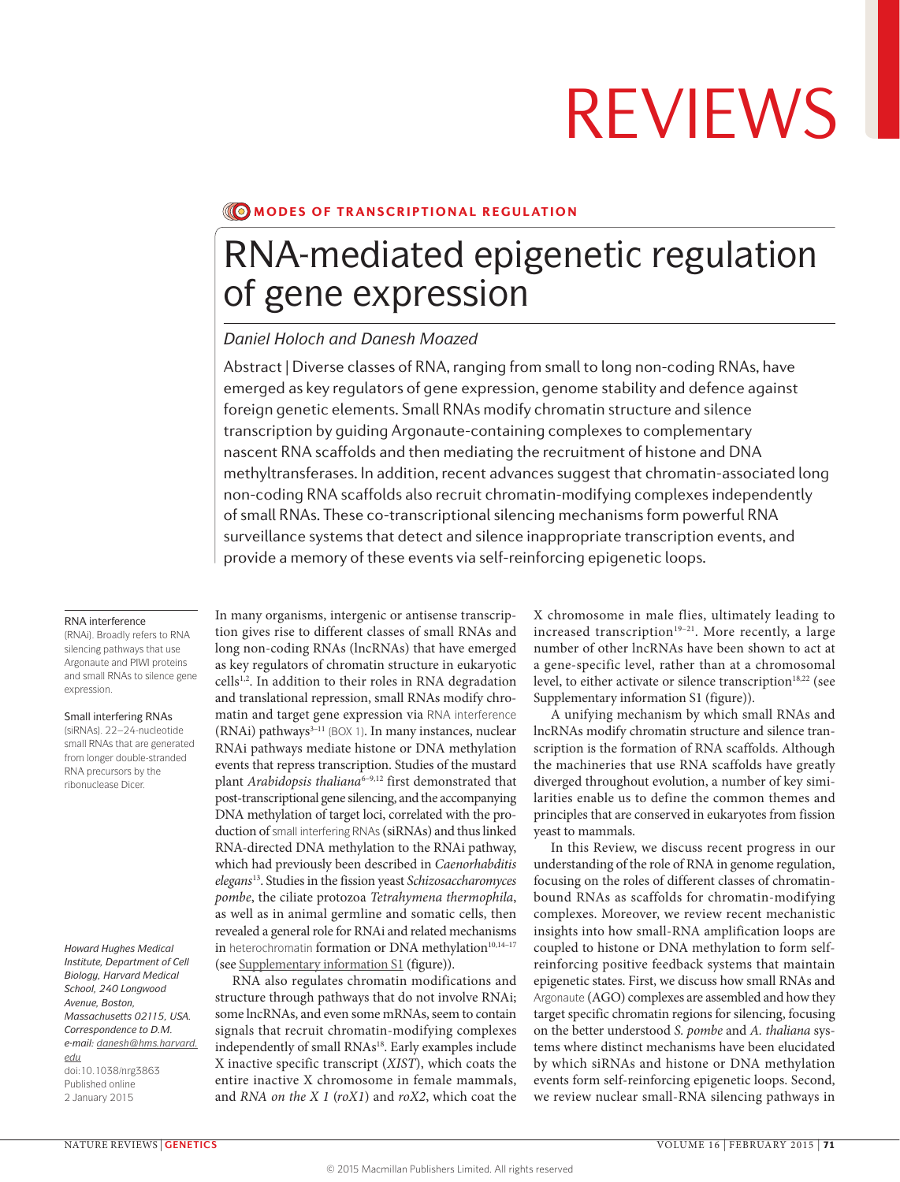#### **MODES OF TRANSCRIPTIONAL REGULATION**

## RNA-mediated epigenetic regulation of gene expression

### *Daniel Holoch and Danesh Moazed*

Abstract | Diverse classes of RNA, ranging from small to long non-coding RNAs, have emerged as key regulators of gene expression, genome stability and defence against foreign genetic elements. Small RNAs modify chromatin structure and silence transcription by guiding Argonaute-containing complexes to complementary nascent RNA scaffolds and then mediating the recruitment of histone and DNA methyltransferases. In addition, recent advances suggest that chromatin-associated long non-coding RNA scaffolds also recruit chromatin-modifying complexes independently of small RNAs. These co-transcriptional silencing mechanisms form powerful RNA surveillance systems that detect and silence inappropriate transcription events, and provide a memory of these events via self-reinforcing epigenetic loops.

#### RNA interference

(RNAi). Broadly refers to RNA silencing pathways that use Argonaute and PIWI proteins and small RNAs to silence gene expression.

#### Small interfering RNAs

(siRNAs). 22–24‑nucleotide small RNAs that are generated from longer double-stranded RNA precursors by the ribonuclease Dicer.

*Howard Hughes Medical Institute, Department of Cell Biology, Harvard Medical School, 240 Longwood Avenue, Boston, Massachusetts 02115, USA. Correspondence to D.M. e-mail: [danesh@hms.harvard.](mailto:danesh@hms.harvard.edu) [edu](mailto:danesh@hms.harvard.edu)* doi:10.1038/nrg3863 Published online 2 January 2015

In many organisms, intergenic or antisense transcription gives rise to different classes of small RNAs and long non-coding RNAs (lncRNAs) that have emerged as key regulators of chromatin structure in eukaryotic cells<sup>1,2</sup>. In addition to their roles in RNA degradation and translational repression, small RNAs modify chromatin and target gene expression via RNA interference (RNAi) pathways<sup>3-11</sup> (BOX 1). In many instances, nuclear RNAi pathways mediate histone or DNA methylation events that repress transcription. Studies of the mustard plant *Arabidopsis thaliana*<sup>6-9,12</sup> first demonstrated that post-transcriptional gene silencing, and the accompanying DNA methylation of target loci, correlated with the production of small interfering RNAs (siRNAs) and thus linked RNA-directed DNA methylation to the RNAi pathway, which had previously been described in *Caenorhabditis elegans*13. Studies in the fission yeast *Schizosaccharomyces pombe*, the ciliate protozoa *Tetrahymena thermophila*, as well as in animal germline and somatic cells, then revealed a general role for RNAi and related mechanisms in heterochromatin formation or DNA methylation<sup>10,14-17</sup> (see [Supplementary information S1](http://www.nature.com/nrg/journal/v16/n2/full/nrg3863.html#supplementary-information) (figure)).

RNA also regulates chromatin modifications and structure through pathways that do not involve RNAi; some lncRNAs, and even some mRNAs, seem to contain signals that recruit chromatin-modifying complexes independently of small RNAs<sup>18</sup>. Early examples include X inactive specific transcript (*XIST*), which coats the entire inactive X chromosome in female mammals, and *RNA on the X 1* (*roX1*) and *roX2*, which coat the X chromosome in male flies, ultimately leading to increased transcription $19-21$ . More recently, a large number of other lncRNAs have been shown to act at a gene-specific level, rather than at a chromosomal level, to either activate or silence transcription<sup>18,22</sup> (see Supplementary information S1 (figure)).

A unifying mechanism by which small RNAs and lncRNAs modify chromatin structure and silence transcription is the formation of RNA scaffolds. Although the machineries that use RNA scaffolds have greatly diverged throughout evolution, a number of key similarities enable us to define the common themes and principles that are conserved in eukaryotes from fission yeast to mammals.

In this Review, we discuss recent progress in our understanding of the role of RNA in genome regulation, focusing on the roles of different classes of chromatinbound RNAs as scaffolds for chromatin-modifying complexes. Moreover, we review recent mechanistic insights into how small-RNA amplification loops are coupled to histone or DNA methylation to form selfreinforcing positive feedback systems that maintain epigenetic states. First, we discuss how small RNAs and Argonaute (AGO) complexes are assembled and how they target specific chromatin regions for silencing, focusing on the better understood *S. pombe* and *A. thaliana* systems where distinct mechanisms have been elucidated by which siRNAs and histone or DNA methylation events form self-reinforcing epigenetic loops. Second, we review nuclear small-RNA silencing pathways in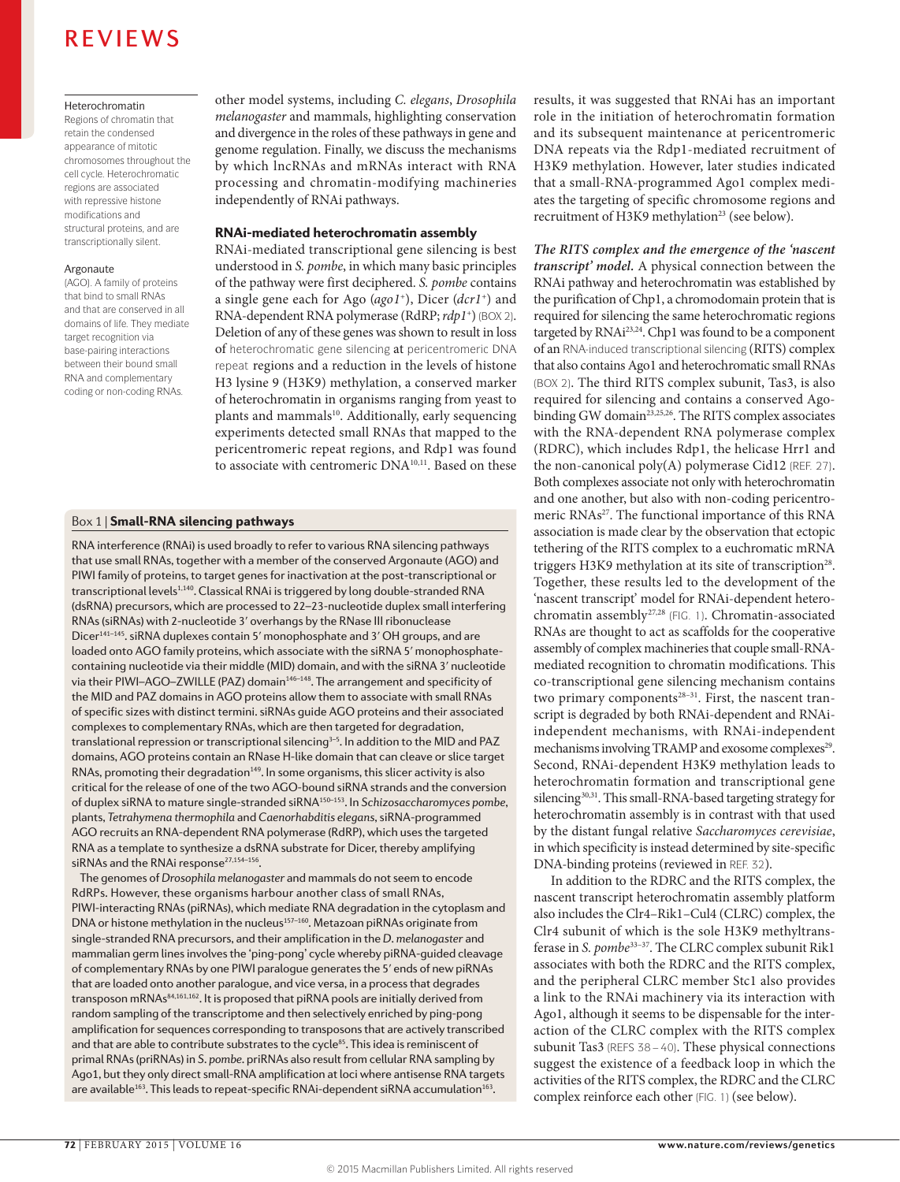#### Heterochromatin

Regions of chromatin that retain the condensed appearance of mitotic chromosomes throughout the cell cycle. Heterochromatic regions are associated with repressive histone modifications and structural proteins, and are transcriptionally silent.

#### **Argonaute**

(AGO). A family of proteins that bind to small RNAs and that are conserved in all domains of life. They mediate target recognition via base-pairing interactions between their bound small RNA and complementary coding or non-coding RNAs.

other model systems, including *C. elegans*, *Drosophila melanogaster* and mammals, highlighting conservation and divergence in the roles of these pathways in gene and genome regulation. Finally, we discuss the mechanisms by which lncRNAs and mRNAs interact with RNA processing and chromatin-modifying machineries independently of RNAi pathways.

#### RNAi-mediated heterochromatin assembly

RNAi-mediated transcriptional gene silencing is best understood in *S. pombe*, in which many basic principles of the pathway were first deciphered. *S. pombe* contains a single gene each for Ago (*ago1+*), Dicer (*dcr1+*) and RNA-dependent RNA polymerase (RdRP; *rdp1+*) (BOX 2). Deletion of any of these genes was shown to result in loss of heterochromatic gene silencing at pericentromeric DNA repeat regions and a reduction in the levels of histone H3 lysine 9 (H3K9) methylation, a conserved marker of heterochromatin in organisms ranging from yeast to plants and mammals<sup>10</sup>. Additionally, early sequencing experiments detected small RNAs that mapped to the pericentromeric repeat regions, and Rdp1 was found to associate with centromeric DNA<sup>10,11</sup>. Based on these

#### Box 1 | Small-RNA silencing pathways

RNA interference (RNAi) is used broadly to refer to various RNA silencing pathways that use small RNAs, together with a member of the conserved Argonaute (AGO) and PIWI family of proteins, to target genes for inactivation at the post-transcriptional or transcriptional levels<sup>1,140</sup>. Classical RNAi is triggered by long double-stranded RNA (dsRNA) precursors, which are processed to 22–23-nucleotide duplex small interfering RNAs (siRNAs) with 2-nucleotide 3ʹ overhangs by the RNase III ribonuclease Dicer<sup>141-145</sup>. siRNA duplexes contain 5' monophosphate and 3' OH groups, and are loaded onto AGO family proteins, which associate with the siRNA 5ʹ monophosphatecontaining nucleotide via their middle (MID) domain, and with the siRNA 3ʹ nucleotide via their PIWI–AGO–ZWILLE (PAZ) domain<sup>146–148</sup>. The arrangement and specificity of the MID and PAZ domains in AGO proteins allow them to associate with small RNAs of specific sizes with distinct termini. siRNAs guide AGO proteins and their associated complexes to complementary RNAs, which are then targeted for degradation, translational repression or transcriptional silencing<sup>3-5</sup>. In addition to the MID and PAZ domains, AGO proteins contain an RNase H-like domain that can cleave or slice target RNAs, promoting their degradation<sup>149</sup>. In some organisms, this slicer activity is also critical for the release of one of the two AGO-bound siRNA strands and the conversion of duplex siRNA to mature single-stranded siRNA150–153. In *Schizosaccharomyces pombe*, plants, *Tetrahymena thermophila* and *Caenorhabditis elegans*, siRNA-programmed AGO recruits an RNA-dependent RNA polymerase (RdRP), which uses the targeted RNA as a template to synthesize a dsRNA substrate for Dicer, thereby amplifying siRNAs and the RNAi response<sup>27,154-156</sup>.

The genomes of *Drosophila melanogaster* and mammals do not seem to encode RdRPs. However, these organisms harbour another class of small RNAs, PIWI-interacting RNAs (piRNAs), which mediate RNA degradation in the cytoplasm and DNA or histone methylation in the nucleus<sup>157-160</sup>. Metazoan piRNAs originate from single-stranded RNA precursors, and their amplification in the *D. melanogaster* and mammalian germ lines involves the 'ping-pong' cycle whereby piRNA-guided cleavage of complementary RNAs by one PIWI paralogue generates the 5ʹ ends of new piRNAs that are loaded onto another paralogue, and vice versa, in a process that degrades transposon mRNAs<sup>84,161,162</sup>. It is proposed that piRNA pools are initially derived from random sampling of the transcriptome and then selectively enriched by ping-pong amplification for sequences corresponding to transposons that are actively transcribed and that are able to contribute substrates to the cycle<sup>85</sup>. This idea is reminiscent of primal RNAs (priRNAs) in *S. pombe*. priRNAs also result from cellular RNA sampling by Ago1, but they only direct small-RNA amplification at loci where antisense RNA targets are available<sup>163</sup>. This leads to repeat-specific RNAi-dependent siRNA accumulation<sup>163</sup>.

results, it was suggested that RNAi has an important role in the initiation of heterochromatin formation and its subsequent maintenance at pericentromeric DNA repeats via the Rdp1-mediated recruitment of H3K9 methylation. However, later studies indicated that a small-RNA-programmed Ago1 complex mediates the targeting of specific chromosome regions and recruitment of H3K9 methylation<sup>23</sup> (see below).

*The RITS complex and the emergence of the 'nascent transcript' model.* A physical connection between the RNAi pathway and heterochromatin was established by the purification of Chp1, a chromodomain protein that is required for silencing the same heterochromatic regions targeted by RNAi23,24. Chp1 was found to be a component of an RNA-induced transcriptional silencing (RITS) complex that also contains Ago1 and heterochromatic small RNAs (BOX 2). The third RITS complex subunit, Tas3, is also required for silencing and contains a conserved Agobinding GW domain<sup>23,25,26</sup>. The RITS complex associates with the RNA-dependent RNA polymerase complex (RDRC), which includes Rdp1, the helicase Hrr1 and the non-canonical poly(A) polymerase Cid12 (REF. 27). Both complexes associate not only with heterochromatin and one another, but also with non-coding pericentromeric RNAs<sup>27</sup>. The functional importance of this RNA association is made clear by the observation that ectopic tethering of the RITS complex to a euchromatic mRNA triggers H3K9 methylation at its site of transcription<sup>28</sup>. Together, these results led to the development of the 'nascent transcript' model for RNAi-dependent heterochromatin assembly<sup>27,28</sup> (FIG. 1). Chromatin-associated RNAs are thought to act as scaffolds for the cooperative assembly of complex machineries that couple small-RNAmediated recognition to chromatin modifications. This co-transcriptional gene silencing mechanism contains two primary components<sup>28-31</sup>. First, the nascent transcript is degraded by both RNAi-dependent and RNAiindependent mechanisms, with RNAi-independent mechanisms involving TRAMP and exosome complexes<sup>29</sup>. Second, RNAi-dependent H3K9 methylation leads to heterochromatin formation and transcriptional gene silencing<sup>30,31</sup>. This small-RNA-based targeting strategy for heterochromatin assembly is in contrast with that used by the distant fungal relative *Saccharomyces cerevisiae*, in which specificity is instead determined by site-specific DNA-binding proteins (reviewed in REF. 32).

In addition to the RDRC and the RITS complex, the nascent transcript heterochromatin assembly platform also includes the Clr4–Rik1–Cul4 (CLRC) complex, the Clr4 subunit of which is the sole H3K9 methyltransferase in *S. pombe*33–37. The CLRC complex subunit Rik1 associates with both the RDRC and the RITS complex, and the peripheral CLRC member Stc1 also provides a link to the RNAi machinery via its interaction with Ago1, although it seems to be dispensable for the interaction of the CLRC complex with the RITS complex subunit Tas3 (REFS 38−40). These physical connections suggest the existence of a feedback loop in which the activities of the RITS complex, the RDRC and the CLRC complex reinforce each other (FIG. 1) (see below).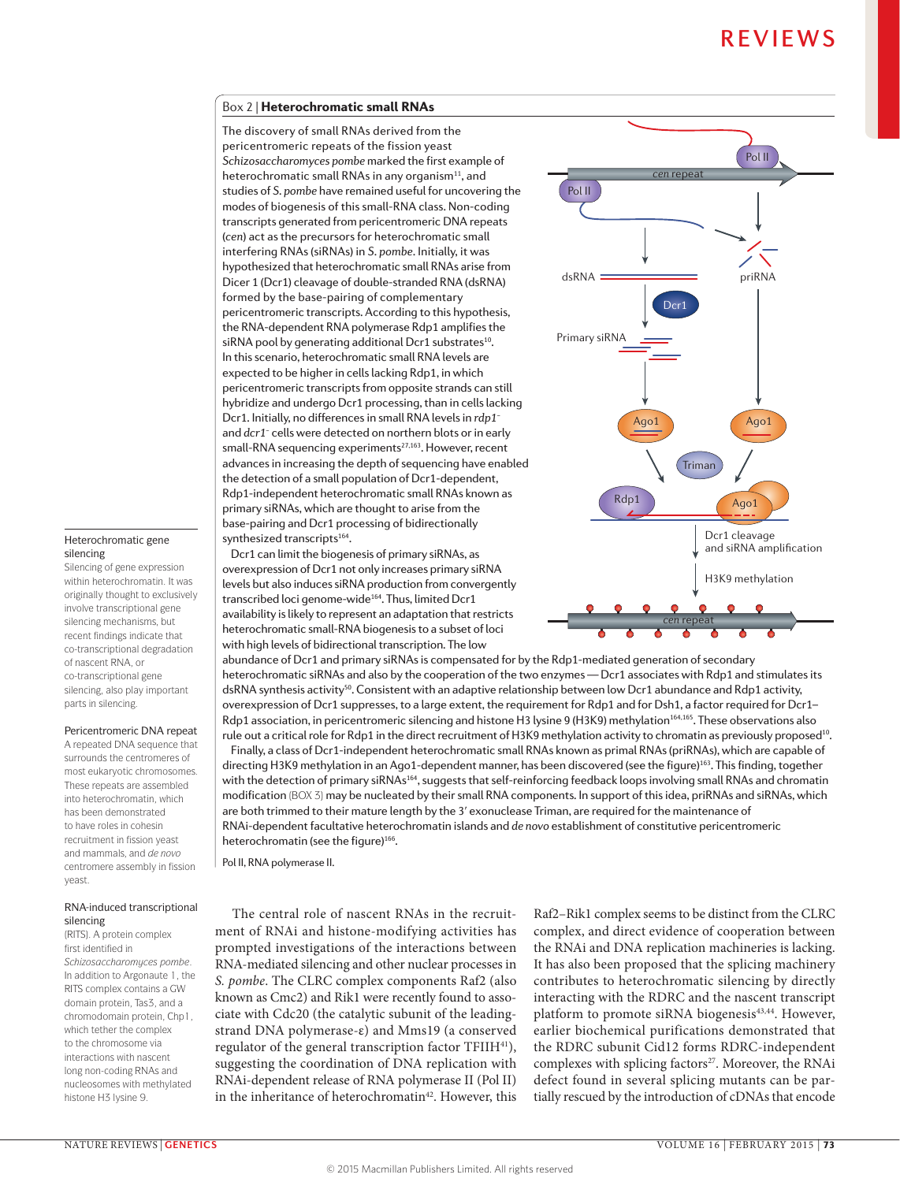#### Box 2 | Heterochromatic small RNAs

The discovery of small RNAs derived from the pericentromeric repeats of the fission yeast *Schizosaccharomyces pombe* marked the first example of heterochromatic small RNAs in any organism $11$ , and studies of *S. pombe* have remained useful for uncovering the modes of biogenesis of this small-RNA class. Non-coding transcripts generated from pericentromeric DNA repeats (*cen*) act as the precursors for heterochromatic small interfering RNAs (siRNAs) in *S. pombe*. Initially, it was hypothesized that heterochromatic small RNAs arise from Dicer 1 (Dcr1) cleavage of double-stranded RNA (dsRNA) formed by the base-pairing of complementary pericentromeric transcripts. According to this hypothesis, the RNA-dependent RNA polymerase Rdp1 amplifies the siRNA pool by generating additional Dcr1 substrates<sup>10</sup>. In this scenario, heterochromatic small RNA levels are expected to be higher in cells lacking Rdp1, in which pericentromeric transcripts from opposite strands can still hybridize and undergo Dcr1 processing, than in cells lacking Dcr1. Initially, no differences in small RNA levels in *rdp1−* and *dcr1−* cells were detected on northern blots or in early small-RNA sequencing experiments<sup>27,163</sup>. However, recent advances in increasing the depth of sequencing have enabled the detection of a small population of Dcr1-dependent, Rdp1-independent heterochromatic small RNAs known as primary siRNAs, which are thought to arise from the base-pairing and Dcr1 processing of bidirectionally synthesized transcripts<sup>164</sup>.

#### Heterochromatic gene silencing

Silencing of gene expression within heterochromatin. It was originally thought to exclusively involve transcriptional gene silencing mechanisms, but recent findings indicate that co-transcriptional degradation of nascent RNA, or co-transcriptional gene silencing, also play important parts in silencing.

#### Pericentromeric DNA repeat

A repeated DNA sequence that surrounds the centromeres of most eukaryotic chromosomes. These repeats are assembled into heterochromatin, which has been demonstrated to have roles in cohesin recruitment in fission yeast and mammals, and *de novo* centromere assembly in fission yeast.

#### RNA-induced transcriptional silencing

(RITS). A protein complex first identified in *Schizosaccharomyces pombe*. In addition to Argonaute 1, the RITS complex contains a GW domain protein, Tas3, and a chromodomain protein, Chp1, which tether the complex to the chromosome via interactions with nascent long non-coding RNAs and nucleosomes with methylated histone H3 lysine 9.

Dcr1 can limit the biogenesis of primary siRNAs, as overexpression of Dcr1 not only increases primary siRNA levels but also induces siRNA production from convergently transcribed loci genome-wide<sup>164</sup>. Thus, limited Dcr1 availability is likely to represent an adaptation that restricts heterochromatic small-RNA biogenesis to a subset of loci with high levels of bidirectional transcription. The low



abundance of Dcr1 and primary siRNAs is compensated for by the Rdp1-mediated generation of secondary heterochromatic siRNAs and also by the cooperation of the two enzymes — Dcr1 associates with Rdp1 and stimulates its dsRNA synthesis activity<sup>50</sup>. Consistent with an adaptive relationship between low Dcr1 abundance and Rdp1 activity, overexpression of Dcr1 suppresses, to a large extent, the requirement for Rdp1 and for Dsh1, a factor required for Dcr1– Rdp1 association, in pericentromeric silencing and histone H3 lysine 9 (H3K9) methylation<sup>164,165</sup>. These observations also rule out a critical role for Rdp1 in the direct recruitment of H3K9 methylation activity to chromatin as previously proposed<sup>10</sup>. Finally, a class of Dcr1-independent heterochromatic small RNAs known as primal RNAs (priRNAs), which are capable of directing H3K9 methylation in an Ago1-dependent manner, has been discovered (see the figure)<sup>163</sup>. This finding, together with the detection of primary siRNAs<sup>164</sup>, suggests that self-reinforcing feedback loops involving small RNAs and chromatin modification (BOX 3) may be nucleated by their small RNA components. In support of this idea, priRNAs and siRNAs, which are both trimmed to their mature length by the 3ʹ exonuclease Triman, are required for the maintenance of RNAi-dependent facultative heterochromatin islands and *de novo* establishment of constitutive pericentromeric heterochromatin (see the figure)<sup>166</sup>.

Pol II, RNA polymerase II.

The central role of nascent RNAs in the recruitment of RNAi and histone-modifying activities has prompted investigations of the interactions between RNA-mediated silencing and other nuclear processes in *S. pombe*. The CLRC complex components Raf2 (also known as Cmc2) and Rik1 were recently found to associate with Cdc20 (the catalytic subunit of the leadingstrand DNA polymerase-ε) and Mms19 (a conserved regulator of the general transcription factor TFIIH<sup>41</sup>), suggesting the coordination of DNA replication with RNAi-dependent release of RNA polymerase II (Pol II) in the inheritance of heterochromatin<sup>42</sup>. However, this Raf2–Rik1 complex seems to be distinct from the CLRC complex, and direct evidence of cooperation between the RNAi and DNA replication machineries is lacking. It has also been proposed that the splicing machinery contributes to heterochromatic silencing by directly interacting with the RDRC and the nascent transcript platform to promote siRNA biogenesis<sup>43,44</sup>. However, earlier biochemical purifications demonstrated that the RDRC subunit Cid12 forms RDRC-independent complexes with splicing factors<sup>27</sup>. Moreover, the RNAi defect found in several splicing mutants can be partially rescued by the introduction of cDNAs that encode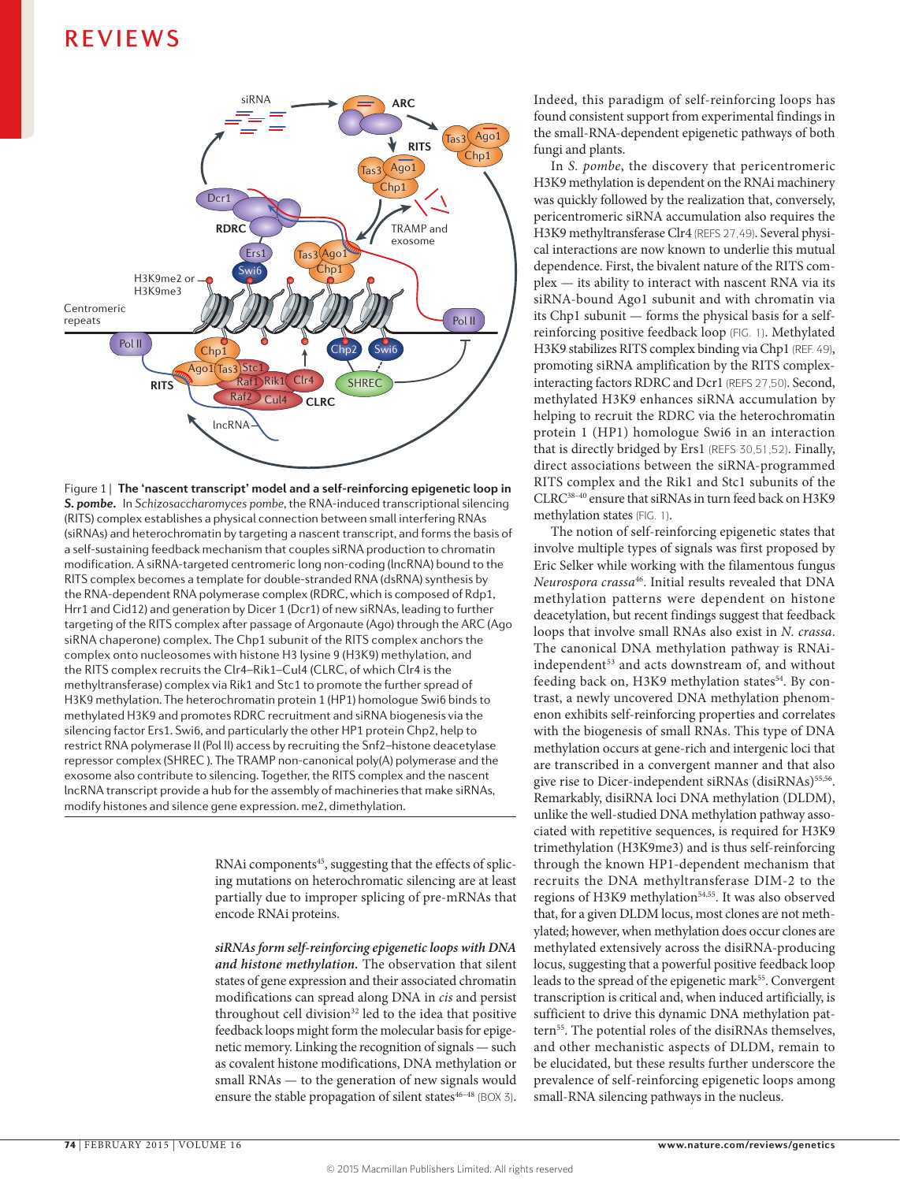

Figure 1 | The 'nascent transcript' model and a self-reinforcing epigenetic loop in *S. pombe***.** In *Schizosaccharomyces pombe*, the RNA-induced transcriptional silencing (RITS) complex establishes a physical connection between small interfering RNAs (siRNAs) and heterochromatin by targeting a nascent transcript, and forms the basis of a self-sustaining feedback mechanism that couples siRNA production to chromatin modification. A siRNA-targeted centromeric long non-coding (lncRNA) bound to the RITS complex becomes a template for double-stranded RNA (dsRNA) synthesis by the RNA-dependent RNA polymerase complex (RDRC, which is composed of Rdp1, Hrr1 and Cid12) and generation by Dicer 1 (Dcr1) of new siRNAs, leading to further targeting of the RITS complex after passage of Argonaute (Ago) through the ARC (Ago siRNA chaperone) complex. The Chp1 subunit of the RITS complex anchors the complex onto nucleosomes with histone H3 lysine 9 (H3K9) methylation, and the RITS complex recruits the Clr4–Rik1–Cul4 (CLRC, of which Clr4 is the methyltransferase) complex via Rik1 and Stc1 to promote the further spread of H3K9 methylation. The heterochromatin protein 1 (HP1) homologue Swi6 binds to methylated H3K9 and promotes RDRC recruitment and siRNA biogenesis via the silencing factor Ers1. Swi6, and particularly the other HP1 protein Chp2, help to restrict RNA polymerase II (Pol II) access by recruiting the Snf2–histone deacetylase repressor complex (SHREC ). The TRAMP non-canonical poly(A) polymerase and the exosome also contribute to silencing. Together, the RITS complex and the nascent lncRNA transcript provide a hub for the assembly of machineries that make siRNAs, modify histones and silence gene expression. me2, dimethylation.

> RNAi components<sup>45</sup>, suggesting that the effects of splicing mutations on heterochromatic silencing are at least partially due to improper splicing of pre-mRNAs that encode RNAi proteins.

> *siRNAs form self-reinforcing epigenetic loops with DNA and histone methylation.* The observation that silent states of gene expression and their associated chromatin modifications can spread along DNA in *cis* and persist throughout cell division<sup>32</sup> led to the idea that positive feedback loops might form the molecular basis for epigenetic memory. Linking the recognition of signals — such as covalent histone modifications, DNA methylation or small RNAs — to the generation of new signals would ensure the stable propagation of silent states<sup>46-48</sup> (BOX 3).

Indeed, this paradigm of self-reinforcing loops has found consistent support from experimental findings in the small-RNA-dependent epigenetic pathways of both fungi and plants.

In *S. pombe*, the discovery that pericentromeric H3K9 methylation is dependent on the RNAi machinery was quickly followed by the realization that, conversely, pericentromeric siRNA accumulation also requires the H3K9 methyltransferase Clr4 (REFS 27,49). Several physical interactions are now known to underlie this mutual dependence. First, the bivalent nature of the RITS complex — its ability to interact with nascent RNA via its siRNA-bound Ago1 subunit and with chromatin via its Chp1 subunit — forms the physical basis for a selfreinforcing positive feedback loop (FIG. 1). Methylated H3K9 stabilizes RITS complex binding via Chp1 (REF. 49), promoting siRNA amplification by the RITS complexinteracting factors RDRC and Dcr1 (REFS 27,50). Second, methylated H3K9 enhances siRNA accumulation by helping to recruit the RDRC via the heterochromatin protein 1 (HP1) homologue Swi6 in an interaction that is directly bridged by Ers1 (REFS 30,51,52). Finally, direct associations between the siRNA-programmed RITS complex and the Rik1 and Stc1 subunits of the CLRC38–40 ensure that siRNAs in turn feed back on H3K9 methylation states (FIG. 1).

The notion of self-reinforcing epigenetic states that involve multiple types of signals was first proposed by Eric Selker while working with the filamentous fungus *Neurospora crassa*46. Initial results revealed that DNA methylation patterns were dependent on histone deacetylation, but recent findings suggest that feedback loops that involve small RNAs also exist in *N. crassa*. The canonical DNA methylation pathway is RNAiindependent<sup>53</sup> and acts downstream of, and without feeding back on, H3K9 methylation states<sup>54</sup>. By contrast, a newly uncovered DNA methylation phenomenon exhibits self-reinforcing properties and correlates with the biogenesis of small RNAs. This type of DNA methylation occurs at gene-rich and intergenic loci that are transcribed in a convergent manner and that also give rise to Dicer-independent siRNAs (disiRNAs)<sup>55,56</sup>. Remarkably, disiRNA loci DNA methylation (DLDM), unlike the well-studied DNA methylation pathway associated with repetitive sequences, is required for H3K9 trimethylation (H3K9me3) and is thus self-reinforcing through the known HP1-dependent mechanism that recruits the DNA methyltransferase DIM-2 to the regions of H3K9 methylation<sup>54,55</sup>. It was also observed that, for a given DLDM locus, most clones are not methylated; however, when methylation does occur clones are methylated extensively across the disiRNA-producing locus, suggesting that a powerful positive feedback loop leads to the spread of the epigenetic mark<sup>55</sup>. Convergent transcription is critical and, when induced artificially, is sufficient to drive this dynamic DNA methylation pattern<sup>55</sup>. The potential roles of the disiRNAs themselves, and other mechanistic aspects of DLDM, remain to be elucidated, but these results further underscore the prevalence of self-reinforcing epigenetic loops among small-RNA silencing pathways in the nucleus.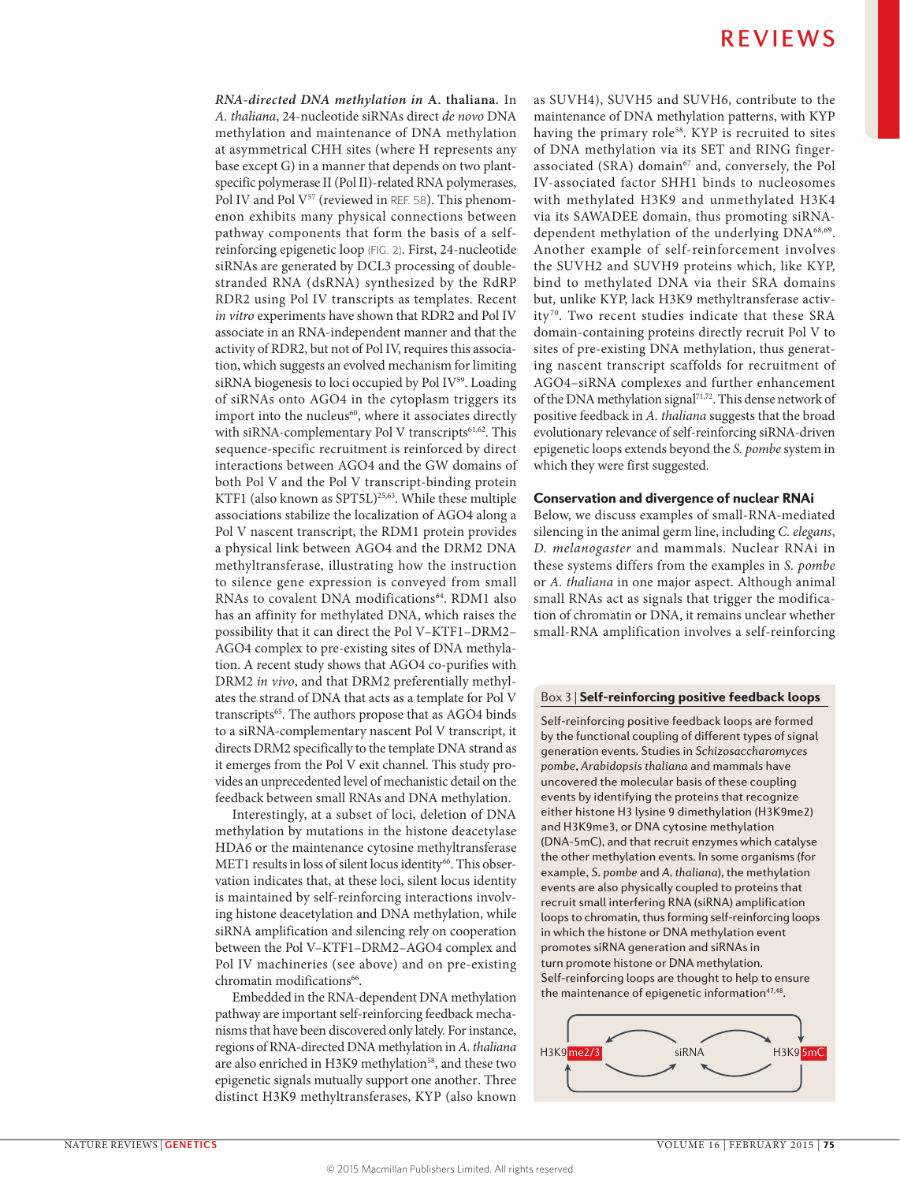*RNA-directed DNA methylation in* **A. thaliana***.* In *A. thaliana*, 24-nucleotide siRNAs direct *de novo* DNA methylation and maintenance of DNA methylation at asymmetrical CHH sites (where H represents any base except G) in a manner that depends on two plantspecific polymerase II (Pol II)-related RNA polymerases, Pol IV and Pol V<sup>57</sup> (reviewed in REF. 58). This phenomenon exhibits many physical connections between pathway components that form the basis of a selfreinforcing epigenetic loop (FIG. 2). First, 24-nucleotide siRNAs are generated by DCL3 processing of doublestranded RNA (dsRNA) synthesized by the RdRP RDR2 using Pol IV transcripts as templates. Recent *in vitro* experiments have shown that RDR2 and Pol IV associate in an RNA-independent manner and that the activity of RDR2, but not of Pol IV, requires this association, which suggests an evolved mechanism for limiting siRNA biogenesis to loci occupied by Pol IV<sup>59</sup>. Loading of siRNAs onto AGO4 in the cytoplasm triggers its import into the nucleus<sup>60</sup>, where it associates directly with siRNA-complementary Pol V transcripts<sup>61,62</sup>. This sequence-specific recruitment is reinforced by direct interactions between AGO4 and the GW domains of both Pol V and the Pol V transcript-binding protein KTF1 (also known as SPT5L)<sup>25,63</sup>. While these multiple associations stabilize the localization of AGO4 along a Pol V nascent transcript, the RDM1 protein provides a physical link between AGO4 and the DRM2 DNA methyltransferase, illustrating how the instruction to silence gene expression is conveyed from small RNAs to covalent DNA modifications<sup>64</sup>. RDM1 also has an affinity for methylated DNA, which raises the possibility that it can direct the Pol V–KTF1–DRM2– AGO4 complex to pre-existing sites of DNA methylation. A recent study shows that AGO4 co-purifies with DRM2 *in vivo*, and that DRM2 preferentially methylates the strand of DNA that acts as a template for Pol V transcripts<sup>65</sup>. The authors propose that as AGO4 binds to a siRNA-complementary nascent Pol V transcript, it directs DRM2 specifically to the template DNA strand as it emerges from the Pol V exit channel. This study provides an unprecedented level of mechanistic detail on the feedback between small RNAs and DNA methylation.

Interestingly, at a subset of loci, deletion of DNA methylation by mutations in the histone deacetylase HDA6 or the maintenance cytosine methyltransferase MET1 results in loss of silent locus identity<sup>66</sup>. This observation indicates that, at these loci, silent locus identity is maintained by self-reinforcing interactions involving histone deacetylation and DNA methylation, while siRNA amplification and silencing rely on cooperation between the Pol V–KTF1–DRM2–AGO4 complex and Pol IV machineries (see above) and on pre-existing chromatin modifications<sup>66</sup>.

Embedded in the RNA-dependent DNA methylation pathway are important self-reinforcing feedback mechanisms that have been discovered only lately. For instance, regions of RNA-directed DNA methylation in *A. thaliana*  are also enriched in H3K9 methylation<sup>58</sup>, and these two epigenetic signals mutually support one another. Three distinct H3K9 methyltransferases, KYP (also known as SUVH4), SUVH5 and SUVH6, contribute to the maintenance of DNA methylation patterns, with KYP having the primary role<sup>58</sup>. KYP is recruited to sites of DNA methylation via its SET and RING fingerassociated (SRA) domain<sup>67</sup> and, conversely, the Pol IV-associated factor SHH1 binds to nucleosomes with methylated H3K9 and unmethylated H3K4 via its SAWADEE domain, thus promoting siRNAdependent methylation of the underlying DNA68,69. Another example of self-reinforcement involves the SUVH2 and SUVH9 proteins which, like KYP, bind to methylated DNA via their SRA domains but, unlike KYP, lack H3K9 methyltransferase activity 70. Two recent studies indicate that these SRA domain-containing proteins directly recruit Pol V to sites of pre-existing DNA methylation, thus generating nascent transcript scaffolds for recruitment of AGO4–siRNA complexes and further enhancement of the DNA methylation signal<sup>71,72</sup>. This dense network of positive feedback in *A. thaliana* suggests that the broad evolutionary relevance of self-reinforcing siRNA-driven epigenetic loops extends beyond the *S. pombe* system in which they were first suggested.

#### Conservation and divergence of nuclear RNAi

Below, we discuss examples of small-RNA-mediated silencing in the animal germ line, including *C. elegans*, *D. melanogaster* and mammals. Nuclear RNAi in these systems differs from the examples in *S. pombe* or *A. thaliana* in one major aspect. Although animal small RNAs act as signals that trigger the modification of chromatin or DNA, it remains unclear whether small-RNA amplification involves a self-reinforcing

#### Box 3 | Self-reinforcing positive feedback loops

Self-reinforcing positive feedback loops are formed by the functional coupling of different types of signal generation events. Studies in *Schizosaccharomyces pombe*, *Arabidopsis thaliana* and mammals have uncovered the molecular basis of these coupling events by identifying the proteins that recognize either histone H3 lysine 9 dimethylation (H3K9me2) and H3K9me3, or DNA cytosine methylation (DNA-5mC), and that recruit enzymes which catalyse the other methylation events. In some organisms (for example, *S. pombe* and *A. thaliana*), the methylation events are also physically coupled to proteins that recruit small interfering RNA (siRNA) amplification loops to chromatin, thus forming self-reinforcing loops in which the histone or DNA methylation event promotes siRNA generation and siRNAs in turn promote histone or DNA methylation. Self-reinforcing loops are thought to help to ensure the maintenance of epigenetic information<sup>47,48</sup>.

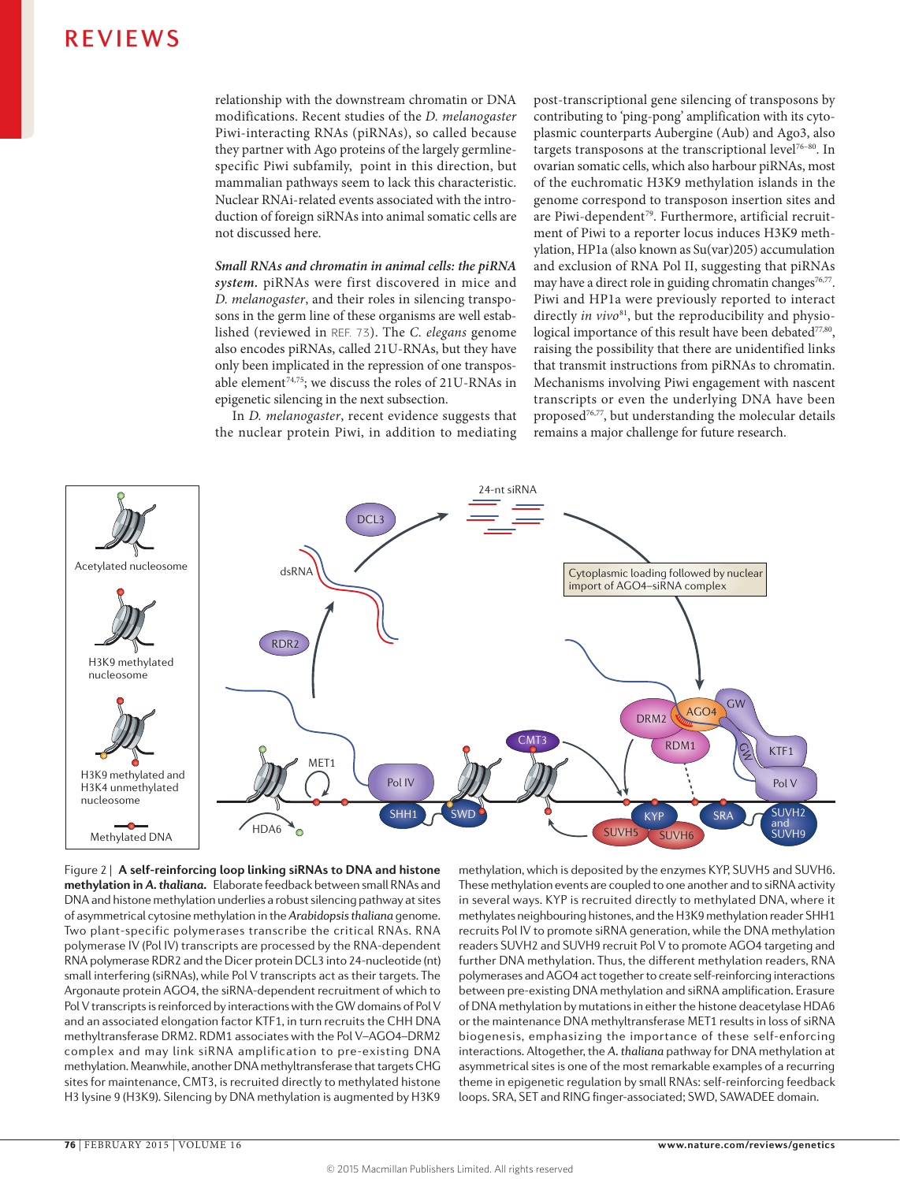relationship with the downstream chromatin or DNA modifications. Recent studies of the *D. melanogaster* Piwi-interacting RNAs (piRNAs), so called because they partner with Ago proteins of the largely germlinespecific Piwi subfamily, point in this direction, but mammalian pathways seem to lack this characteristic. Nuclear RNAi-related events associated with the introduction of foreign siRNAs into animal somatic cells are not discussed here.

*Small RNAs and chromatin in animal cells: the piRNA system.* piRNAs were first discovered in mice and *D. melanogaster*, and their roles in silencing transposons in the germ line of these organisms are well established (reviewed in REF. 73). The *C. elegans* genome also encodes piRNAs, called 21U-RNAs, but they have only been implicated in the repression of one transposable element74,75; we discuss the roles of 21U-RNAs in epigenetic silencing in the next subsection.

In *D. melanogaster*, recent evidence suggests that the nuclear protein Piwi, in addition to mediating post-transcriptional gene silencing of transposons by contributing to 'ping-pong' amplification with its cytoplasmic counterparts Aubergine (Aub) and Ago3, also targets transposons at the transcriptional level<sup>76–80</sup>. In ovarian somatic cells, which also harbour piRNAs, most of the euchromatic H3K9 methylation islands in the genome correspond to transposon insertion sites and are Piwi-dependent<sup>79</sup>. Furthermore, artificial recruitment of Piwi to a reporter locus induces H3K9 methylation, HP1a (also known as Su(var)205) accumulation and exclusion of RNA Pol II, suggesting that piRNAs may have a direct role in guiding chromatin changes<sup>76,77</sup>. Piwi and HP1a were previously reported to interact directly *in vivo*<sup>81</sup>, but the reproducibility and physiological importance of this result have been debated<sup>77,80</sup>, raising the possibility that there are unidentified links that transmit instructions from piRNAs to chromatin. Mechanisms involving Piwi engagement with nascent transcripts or even the underlying DNA have been proposed76,77 , but understanding the molecular details remains a major challenge for future research.



Figure 2 | **A self-reinforcing loop linking siRNAs to DNA and histone methylation in** *A. thaliana.* Elaborate feedback between small RNAs and DNA and histone methylation underlies a robust silencing pathway at sites of asymmetrical cytosine methylation in the *Arabidopsis thaliana* genome. Two plant-specific polymerases transcribe the critical RNAs. RNA polymerase IV (Pol IV) transcripts are processed by the RNA-dependent RNA polymerase RDR2 and the Dicer protein DCL3 into 24-nucleotide (nt) small interfering (siRNAs), while Pol V transcripts act as their targets. The Argonaute protein AGO4, the siRNA-dependent recruitment of which to Pol V transcripts is reinforced by interactions with the GW domains of Pol V and an associated elongation factor KTF1, in turn recruits the CHH DNA methyltransferase DRM2. RDM1 associates with the Pol V–AGO4–DRM2 complex and may link siRNA amplification to pre-existing DNA methylation. Meanwhile, another DNA methyltransferase that targets CHG sites for maintenance, CMT3, is recruited directly to methylated histone H3 lysine 9 (H3K9). Silencing by DNA methylation is augmented by H3K9

These methylation events are coupled to one another and to siRNA activity methylation, which is deposited by the enzymes KYP, SUVH5 and SUVH6. in several ways. KYP is recruited directly to methylated DNA, where it methylates neighbouring histones, and the H3K9 methylation reader SHH1 recruits Pol IV to promote siRNA generation, while the DNA methylation readers SUVH2 and SUVH9 recruit Pol V to promote AGO4 targeting and further DNA methylation. Thus, the different methylation readers, RNA polymerases and AGO4 act together to create self-reinforcing interactions between pre-existing DNA methylation and siRNA amplification. Erasure of DNA methylation by mutations in either the histone deacetylase HDA6 or the maintenance DNA methyltransferase MET1 results in loss of siRNA biogenesis, emphasizing the importance of these self-enforcing interactions. Altogether, the *A. thaliana* pathway for DNA methylation at asymmetrical sites is one of the most remarkable examples of a recurring theme in epigenetic regulation by small RNAs: self-reinforcing feedback loops. SRA, SET and RING finger-associated; SWD, SAWADEE domain.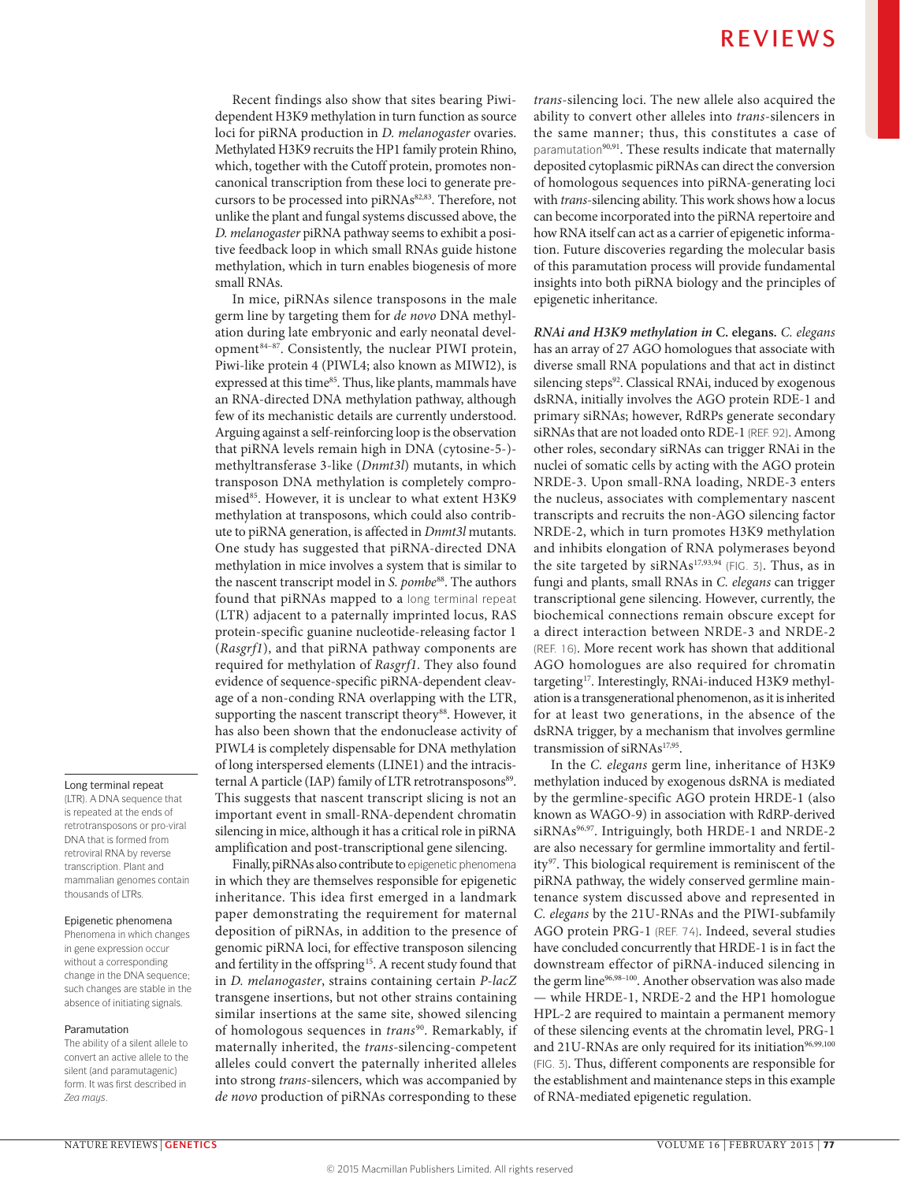Recent findings also show that sites bearing Piwidependent H3K9 methylation in turn function as source loci for piRNA production in *D. melanogaster* ovaries. Methylated H3K9 recruits the HP1 family protein Rhino, which, together with the Cutoff protein, promotes noncanonical transcription from these loci to generate precursors to be processed into piRNAs<sup>82,83</sup>. Therefore, not unlike the plant and fungal systems discussed above, the *D. melanogaster* piRNA pathway seems to exhibit a positive feedback loop in which small RNAs guide histone methylation, which in turn enables biogenesis of more small RNAs.

In mice, piRNAs silence transposons in the male germ line by targeting them for *de novo* DNA methylation during late embryonic and early neonatal development<sup>84-87</sup>. Consistently, the nuclear PIWI protein, Piwi-like protein 4 (PIWL4; also known as MIWI2), is expressed at this time<sup>85</sup>. Thus, like plants, mammals have an RNA-directed DNA methylation pathway, although few of its mechanistic details are currently understood. Arguing against a self-reinforcing loop is the observation that piRNA levels remain high in DNA (cytosine-5-) methyltransferase 3-like (*Dnmt3l*) mutants, in which transposon DNA methylation is completely compromised<sup>85</sup>. However, it is unclear to what extent H3K9 methylation at transposons, which could also contribute to piRNA generation, is affected in *Dnmt3l* mutants. One study has suggested that piRNA-directed DNA methylation in mice involves a system that is similar to the nascent transcript model in *S. pombe*88. The authors found that piRNAs mapped to a long terminal repeat (LTR) adjacent to a paternally imprinted locus, RAS protein-specific guanine nucleotide-releasing factor 1 (*Rasgrf1*), and that piRNA pathway components are required for methylation of *Rasgrf1*. They also found evidence of sequence-specific piRNA-dependent cleavage of a non-conding RNA overlapping with the LTR, supporting the nascent transcript theory<sup>88</sup>. However, it has also been shown that the endonuclease activity of PIWL4 is completely dispensable for DNA methylation of long interspersed elements (LINE1) and the intracisternal A particle (IAP) family of LTR retrotransposons<sup>89</sup>. This suggests that nascent transcript slicing is not an important event in small-RNA-dependent chromatin silencing in mice, although it has a critical role in piRNA amplification and post-transcriptional gene silencing.

Finally, piRNAs also contribute to epigenetic phenomena in which they are themselves responsible for epigenetic inheritance. This idea first emerged in a landmark paper demonstrating the requirement for maternal deposition of piRNAs, in addition to the presence of genomic piRNA loci, for effective transposon silencing and fertility in the offspring<sup>15</sup>. A recent study found that in *D. melanogaster*, strains containing certain *P‑lacZ* transgene insertions, but not other strains containing similar insertions at the same site, showed silencing of homologous sequences in *trans<sup>90</sup>*. Remarkably, if maternally inherited, the *trans-*silencing-competent alleles could convert the paternally inherited alleles into strong *trans*-silencers, which was accompanied by *de novo* production of piRNAs corresponding to these *trans*-silencing loci. The new allele also acquired the ability to convert other alleles into *trans*-silencers in the same manner; thus, this constitutes a case of paramutation<sup>90,91</sup>. These results indicate that maternally deposited cytoplasmic piRNAs can direct the conversion of homologous sequences into piRNA-generating loci with *trans*-silencing ability. This work shows how a locus can become incorporated into the piRNA repertoire and how RNA itself can act as a carrier of epigenetic information. Future discoveries regarding the molecular basis of this paramutation process will provide fundamental insights into both piRNA biology and the principles of epigenetic inheritance.

*RNAi and H3K9 methylation in* **C. elegans***. C. elegans* has an array of 27 AGO homologues that associate with diverse small RNA populations and that act in distinct silencing steps<sup>92</sup>. Classical RNAi, induced by exogenous dsRNA, initially involves the AGO protein RDE-1 and primary siRNAs; however, RdRPs generate secondary siRNAs that are not loaded onto RDE-1 (REF. 92). Among other roles, secondary siRNAs can trigger RNAi in the nuclei of somatic cells by acting with the AGO protein NRDE-3. Upon small-RNA loading, NRDE-3 enters the nucleus, associates with complementary nascent transcripts and recruits the non-AGO silencing factor NRDE-2, which in turn promotes H3K9 methylation and inhibits elongation of RNA polymerases beyond the site targeted by siRNAs<sup>17,93,94</sup> (FIG. 3). Thus, as in fungi and plants, small RNAs in *C. elegans* can trigger transcriptional gene silencing. However, currently, the biochemical connections remain obscure except for a direct interaction between NRDE-3 and NRDE-2 (REF. 16). More recent work has shown that additional AGO homologues are also required for chromatin targeting17. Interestingly, RNAi-induced H3K9 methylation is a transgenerational phenomenon, as it is inherited for at least two generations, in the absence of the dsRNA trigger, by a mechanism that involves germline transmission of siRNAs<sup>17,95</sup>.

In the *C. elegans* germ line, inheritance of H3K9 methylation induced by exogenous dsRNA is mediated by the germline-specific AGO protein HRDE-1 (also known as WAGO-9) in association with RdRP-derived siRNAs<sup>96,97</sup>. Intriguingly, both HRDE-1 and NRDE-2 are also necessary for germline immortality and fertility97. This biological requirement is reminiscent of the piRNA pathway, the widely conserved germline maintenance system discussed above and represented in *C. elegans* by the 21U-RNAs and the PIWI-subfamily AGO protein PRG-1 (REF. 74). Indeed, several studies have concluded concurrently that HRDE-1 is in fact the downstream effector of piRNA-induced silencing in the germ line<sup>96,98-100</sup>. Another observation was also made — while HRDE-1, NRDE-2 and the HP1 homologue HPL-2 are required to maintain a permanent memory of these silencing events at the chromatin level, PRG-1 and 21U-RNAs are only required for its initiation<sup>96,99,100</sup> (FIG. 3). Thus, different components are responsible for the establishment and maintenance steps in this example of RNA-mediated epigenetic regulation.

Long terminal repeat (LTR). A DNA sequence that is repeated at the ends of retrotransposons or pro-viral DNA that is formed from retroviral RNA by reverse transcription. Plant and mammalian genomes contain thousands of LTRs.

Epigenetic phenomena Phenomena in which changes in gene expression occur without a corresponding change in the DNA sequence; such changes are stable in the absence of initiating signals.

The ability of a silent allele to convert an active allele to the silent (and paramutagenic) form. It was first described in

Paramutation

*Zea mays*.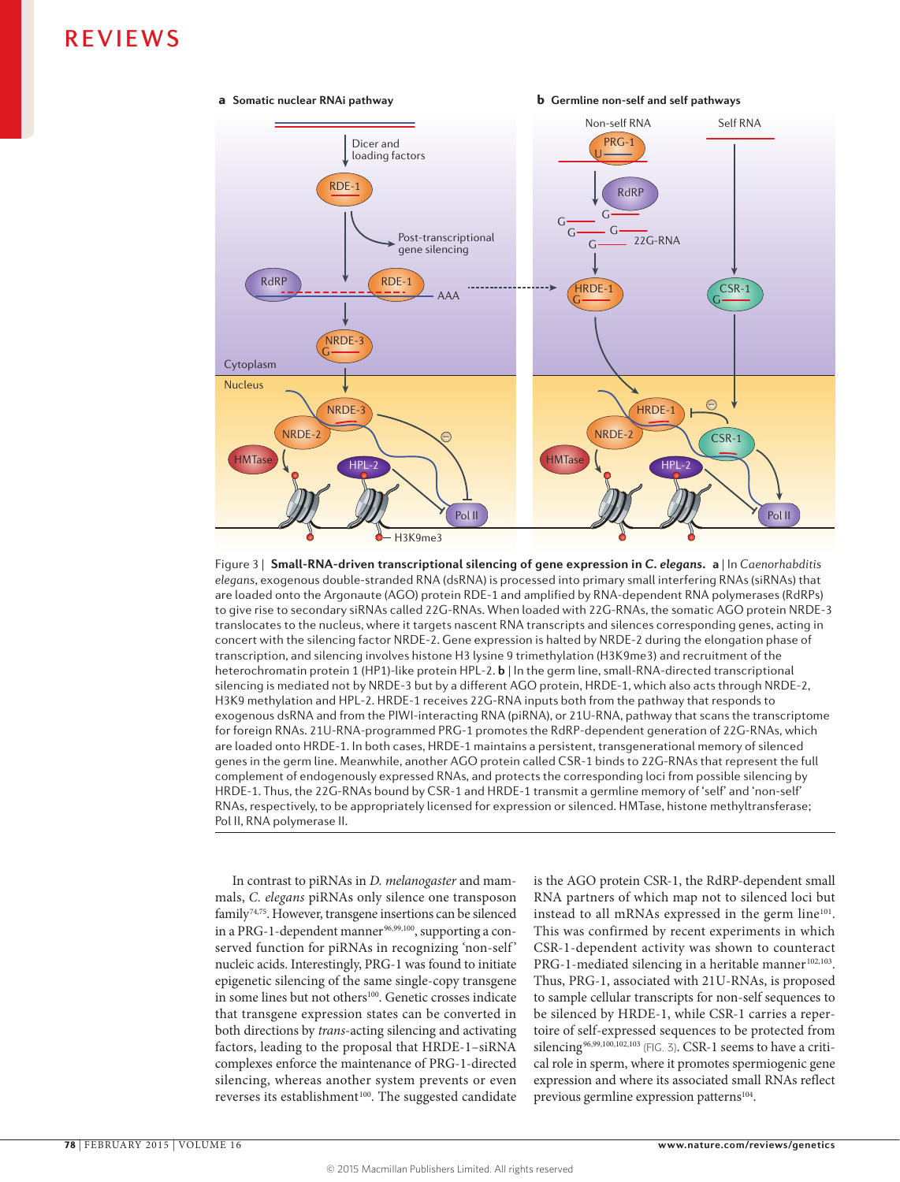a **Somatic nuclear RNAi pathway** b **Germline non-self and self pathways**



**Nature Reviews** | **Genetics** *elegans*, exogenous double-stranded RNA (dsRNA) is processed into primary small interfering RNAs (siRNAs) that Figure 3 | **Small-RNA-driven transcriptional silencing of gene expression in** *C. elegans***. a** | In *Caenorhabditis*  are loaded onto the Argonaute (AGO) protein RDE‑1 and amplified by RNA-dependent RNA polymerases (RdRPs) to give rise to secondary siRNAs called 22G-RNAs. When loaded with 22G-RNAs, the somatic AGO protein NRDE-3 translocates to the nucleus, where it targets nascent RNA transcripts and silences corresponding genes, acting in concert with the silencing factor NRDE-2. Gene expression is halted by NRDE-2 during the elongation phase of transcription, and silencing involves histone H3 lysine 9 trimethylation (H3K9me3) and recruitment of the heterochromatin protein 1 (HP1)‑like protein HPL‑2. **b** | In the germ line, small-RNA-directed transcriptional silencing is mediated not by NRDE-3 but by a different AGO protein, HRDE-1, which also acts through NRDE-2, H3K9 methylation and HPL‑2. HRDE‑1 receives 22G‑RNA inputs both from the pathway that responds to exogenous dsRNA and from the PIWI-interacting RNA (piRNA), or 21U-RNA, pathway that scans the transcriptome for foreign RNAs. 21U-RNA-programmed PRG-1 promotes the RdRP-dependent generation of 22G-RNAs, which are loaded onto HRDE-1. In both cases, HRDE-1 maintains a persistent, transgenerational memory of silenced genes in the germ line. Meanwhile, another AGO protein called CSR-1 binds to 22G-RNAs that represent the full complement of endogenously expressed RNAs, and protects the corresponding loci from possible silencing by HRDE-1. Thus, the 22G-RNAs bound by CSR-1 and HRDE-1 transmit a germline memory of 'self' and 'non-self' RNAs, respectively, to be appropriately licensed for expression or silenced. HMTase, histone methyltransferase; Pol II, RNA polymerase II.

In contrast to piRNAs in *D. melanogaster* and mammals, *C. elegans* piRNAs only silence one transposon family<sup>74,75</sup>. However, transgene insertions can be silenced in a PRG-1-dependent manner<sup>96,99,100</sup>, supporting a conserved function for piRNAs in recognizing 'non-self' nucleic acids. Interestingly, PRG-1 was found to initiate epigenetic silencing of the same single-copy transgene in some lines but not others<sup>100</sup>. Genetic crosses indicate that transgene expression states can be converted in both directions by *trans*-acting silencing and activating factors, leading to the proposal that HRDE-1–siRNA complexes enforce the maintenance of PRG-1-directed silencing, whereas another system prevents or even reverses its establishment<sup>100</sup>. The suggested candidate is the AGO protein CSR-1, the RdRP-dependent small RNA partners of which map not to silenced loci but instead to all mRNAs expressed in the germ line<sup>101</sup>. This was confirmed by recent experiments in which CSR-1-dependent activity was shown to counteract PRG-1-mediated silencing in a heritable manner<sup>102,103</sup>. Thus, PRG-1, associated with 21U-RNAs, is proposed to sample cellular transcripts for non-self sequences to be silenced by HRDE-1, while CSR-1 carries a repertoire of self-expressed sequences to be protected from silencing<sup>96,99,100,102,103</sup> (FIG. 3). CSR-1 seems to have a critical role in sperm, where it promotes spermiogenic gene expression and where its associated small RNAs reflect previous germline expression patterns<sup>104</sup>.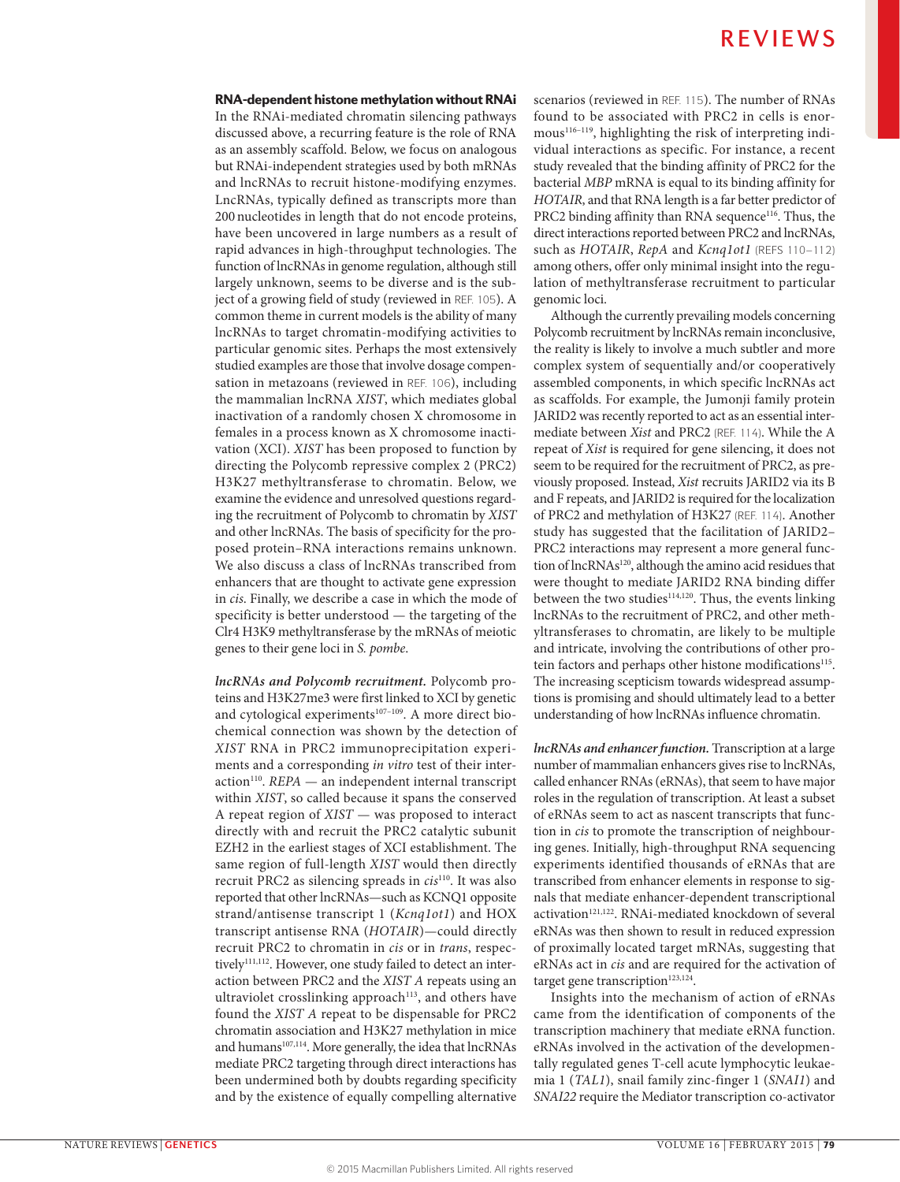#### RNA-dependent histone methylation without RNAi

In the RNAi-mediated chromatin silencing pathways discussed above, a recurring feature is the role of RNA as an assembly scaffold. Below, we focus on analogous but RNAi-independent strategies used by both mRNAs and lncRNAs to recruit histone-modifying enzymes. LncRNAs, typically defined as transcripts more than 200nucleotides in length that do not encode proteins, have been uncovered in large numbers as a result of rapid advances in high-throughput technologies. The function of lncRNAs in genome regulation, although still largely unknown, seems to be diverse and is the subject of a growing field of study (reviewed in REF. 105). A common theme in current models is the ability of many lncRNAs to target chromatin-modifying activities to particular genomic sites. Perhaps the most extensively studied examples are those that involve dosage compensation in metazoans (reviewed in REF. 106), including the mammalian lncRNA *XIST*, which mediates global inactivation of a randomly chosen X chromosome in females in a process known as X chromosome inactivation (XCI). *XIST* has been proposed to function by directing the Polycomb repressive complex 2 (PRC2) H3K27 methyltransferase to chromatin. Below, we examine the evidence and unresolved questions regarding the recruitment of Polycomb to chromatin by *XIST*  and other lncRNAs. The basis of specificity for the proposed protein–RNA interactions remains unknown. We also discuss a class of lncRNAs transcribed from enhancers that are thought to activate gene expression in *cis*. Finally, we describe a case in which the mode of specificity is better understood — the targeting of the Clr4 H3K9 methyltransferase by the mRNAs of meiotic genes to their gene loci in *S. pombe*.

*lncRNAs and Polycomb recruitment.* Polycomb proteins and H3K27me3 were first linked to XCI by genetic and cytological experiments<sup>107-109</sup>. A more direct biochemical connection was shown by the detection of *XIST* RNA in PRC2 immunoprecipitation experiments and a corresponding *in vitro* test of their interaction<sup>110</sup>. *REPA* - an independent internal transcript within *XIST*, so called because it spans the conserved A repeat region of *XIST* — was proposed to interact directly with and recruit the PRC2 catalytic subunit EZH2 in the earliest stages of XCI establishment. The same region of full-length *XIST* would then directly recruit PRC2 as silencing spreads in *cis*110. It was also reported that other lncRNAs—such as KCNQ1 opposite strand/antisense transcript 1 (*Kcnq1ot1*) and HOX transcript antisense RNA (*HOTAIR*)—could directly recruit PRC2 to chromatin in *cis* or in *trans*, respectively<sup>111,112</sup>. However, one study failed to detect an interaction between PRC2 and the *XIST A* repeats using an ultraviolet crosslinking approach<sup>113</sup>, and others have found the *XIST A* repeat to be dispensable for PRC2 chromatin association and H3K27 methylation in mice and humans<sup>107,114</sup>. More generally, the idea that lncRNAs mediate PRC2 targeting through direct interactions has been undermined both by doubts regarding specificity and by the existence of equally compelling alternative scenarios (reviewed in REF. 115). The number of RNAs found to be associated with PRC2 in cells is enor $mous<sup>116–119</sup>$ , highlighting the risk of interpreting individual interactions as specific. For instance, a recent study revealed that the binding affinity of PRC2 for the bacterial *MBP* mRNA is equal to its binding affinity for *HOTAIR*, and that RNA length is a far better predictor of PRC2 binding affinity than RNA sequence<sup>116</sup>. Thus, the direct interactions reported between PRC2 and lncRNAs, such as *HOTAIR*, *RepA* and *Kcnq1ot1* (REFS 110–112) among others, offer only minimal insight into the regulation of methyltransferase recruitment to particular genomic loci.

Although the currently prevailing models concerning Polycomb recruitment by lncRNAs remain inconclusive, the reality is likely to involve a much subtler and more complex system of sequentially and/or cooperatively assembled components, in which specific lncRNAs act as scaffolds. For example, the Jumonji family protein JARID2 was recently reported to act as an essential intermediate between *Xist* and PRC2 (REF. 114). While the A repeat of *Xist* is required for gene silencing, it does not seem to be required for the recruitment of PRC2, as previously proposed. Instead, *Xist* recruits JARID2 via its B and F repeats, and JARID2 is required for the localization of PRC2 and methylation of H3K27 (REF. 114). Another study has suggested that the facilitation of JARID2– PRC2 interactions may represent a more general function of lncRNAs<sup>120</sup>, although the amino acid residues that were thought to mediate JARID2 RNA binding differ between the two studies<sup>114,120</sup>. Thus, the events linking lncRNAs to the recruitment of PRC2, and other methyltransferases to chromatin, are likely to be multiple and intricate, involving the contributions of other protein factors and perhaps other histone modifications<sup>115</sup>. The increasing scepticism towards widespread assumptions is promising and should ultimately lead to a better understanding of how lncRNAs influence chromatin.

*lncRNAs and enhancer function.* Transcription at a large number of mammalian enhancers gives rise to lncRNAs, called enhancer RNAs (eRNAs), that seem to have major roles in the regulation of transcription. At least a subset of eRNAs seem to act as nascent transcripts that function in *cis* to promote the transcription of neighbouring genes. Initially, high-throughput RNA sequencing experiments identified thousands of eRNAs that are transcribed from enhancer elements in response to signals that mediate enhancer-dependent transcriptional activation<sup>121,122</sup>. RNAi-mediated knockdown of several eRNAs was then shown to result in reduced expression of proximally located target mRNAs, suggesting that eRNAs act in *cis* and are required for the activation of target gene transcription $123,124$ .

Insights into the mechanism of action of eRNAs came from the identification of components of the transcription machinery that mediate eRNA function. eRNAs involved in the activation of the developmentally regulated genes T-cell acute lymphocytic leukaemia 1 (*TAL1*), snail family zinc-finger 1 (*SNAI1*) and *SNAI22* require the Mediator transcription co-activator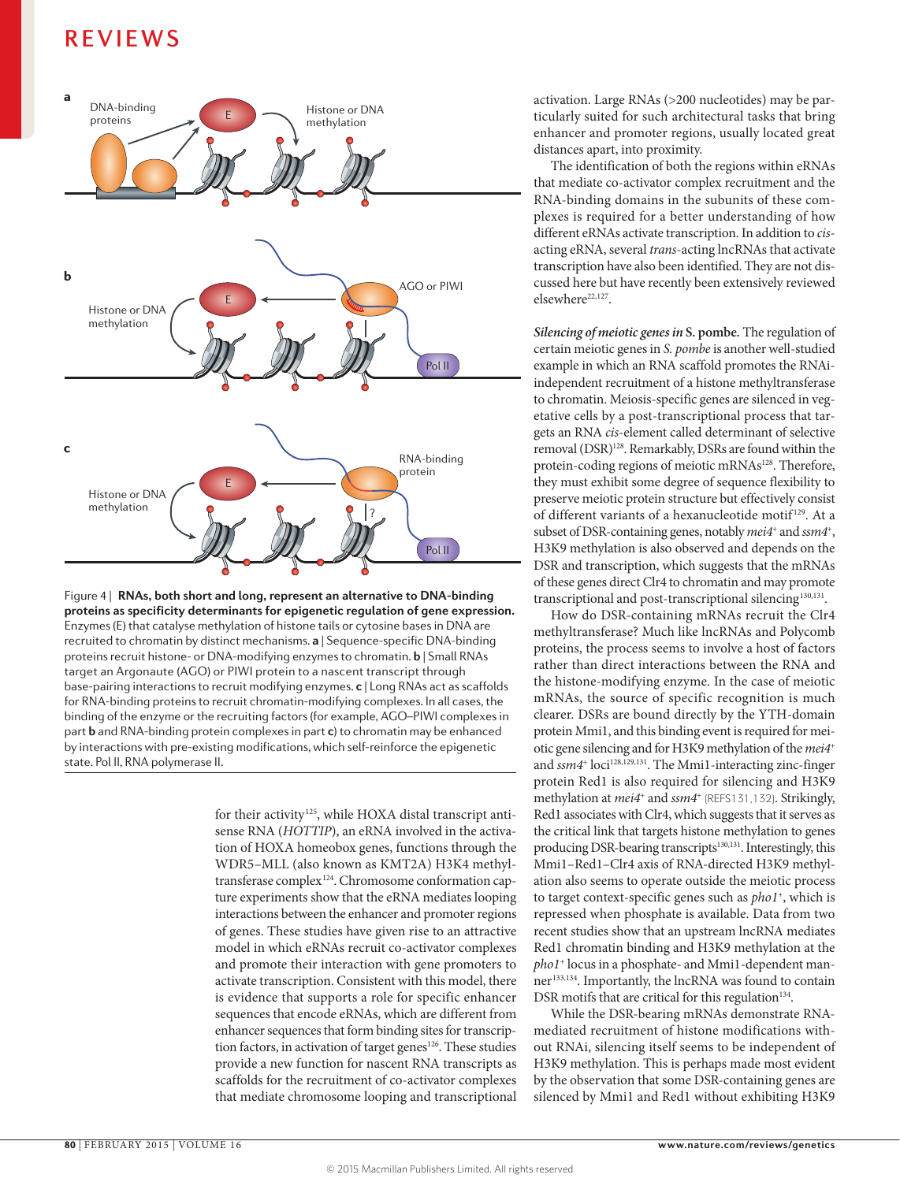

Figure 4 | **RNAs, both short and long, represent an alternative to DNA-binding proteins as specificity determinants for epigenetic regulation of gene expression.** Enzymes (E) that catalyse methylation of histone tails or cytosine bases in DNA are recruited to chromatin by distinct mechanisms. **a** | Sequence-specific DNA-binding proteins recruit histone- or DNA-modifying enzymes to chromatin. **b** | Small RNAs target an Argonaute (AGO) or PIWI protein to a nascent transcript through base-pairing interactions to recruit modifying enzymes. **c** | Long RNAs act as scaffolds for RNA-binding proteins to recruit chromatin-modifying complexes. In all cases, the binding of the enzyme or the recruiting factors (for example, AGO–PIWI complexes in part **b** and RNA-binding protein complexes in part **c**) to chromatin may be enhanced by interactions with pre-existing modifications, which self-reinforce the epigenetic state. Pol II, RNA polymerase II.

for their activity<sup>125</sup>, while HOXA distal transcript antisense RNA (*HOTTIP*), an eRNA involved in the activation of HOXA homeobox genes, functions through the WDR5–MLL (also known as KMT2A) H3K4 methyltransferase complex<sup>124</sup>. Chromosome conformation capture experiments show that the eRNA mediates looping interactions between the enhancer and promoter regions of genes. These studies have given rise to an attractive model in which eRNAs recruit co-activator complexes and promote their interaction with gene promoters to activate transcription. Consistent with this model, there is evidence that supports a role for specific enhancer sequences that encode eRNAs, which are different from enhancer sequences that form binding sites for transcription factors, in activation of target genes<sup>126</sup>. These studies provide a new function for nascent RNA transcripts as scaffolds for the recruitment of co-activator complexes that mediate chromosome looping and transcriptional

activation. Large RNAs (>200 nucleotides) may be particularly suited for such architectural tasks that bring enhancer and promoter regions, usually located great distances apart, into proximity.

The identification of both the regions within eRNAs that mediate co-activator complex recruitment and the RNA-binding domains in the subunits of these complexes is required for a better understanding of how different eRNAs activate transcription. In addition to *cis*acting eRNA, several *trans*-acting lncRNAs that activate transcription have also been identified. They are not discussed here but have recently been extensively reviewed elsewhere<sup>22,127</sup>.

*Silencing of meiotic genes in* **S. pombe***.* The regulation of certain meiotic genes in *S. pombe* is another well-studied example in which an RNA scaffold promotes the RNAiindependent recruitment of a histone methyltransferase to chromatin. Meiosis-specific genes are silenced in vegetative cells by a post-transcriptional process that targets an RNA *cis*-element called determinant of selective removal (DSR)128. Remarkably, DSRs are found within the protein-coding regions of meiotic mRNAs<sup>128</sup>. Therefore, they must exhibit some degree of sequence flexibility to preserve meiotic protein structure but effectively consist of different variants of a hexanucleotide motif<sup>129</sup>. At a subset of DSR-containing genes, notably *mei4+* and *ssm4*<sup>+</sup> , H3K9 methylation is also observed and depends on the DSR and transcription, which suggests that the mRNAs of these genes direct Clr4 to chromatin and may promote transcriptional and post-transcriptional silencing<sup>130,131</sup>.

How do DSR-containing mRNAs recruit the Clr4 methyltransferase? Much like lncRNAs and Polycomb proteins, the process seems to involve a host of factors rather than direct interactions between the RNA and the histone-modifying enzyme. In the case of meiotic mRNAs, the source of specific recognition is much clearer. DSRs are bound directly by the YTH-domain protein Mmi1, and this binding event is required for meiotic gene silencing and for H3K9 methylation of the *mei4+* and  $\text{ssm4}^+$  loci<sup>128,129,131</sup>. The Mmi1-interacting zinc-finger protein Red1 is also required for silencing and H3K9 methylation at *mei4+* and *ssm4*<sup>+</sup> (REFS131,132). Strikingly, Red1 associates with Clr4, which suggests that it serves as the critical link that targets histone methylation to genes producing DSR-bearing transcripts<sup>130,131</sup>. Interestingly, this Mmi1–Red1–Clr4 axis of RNA-directed H3K9 methylation also seems to operate outside the meiotic process to target context-specific genes such as *pho1+*, which is repressed when phosphate is available. Data from two recent studies show that an upstream lncRNA mediates Red1 chromatin binding and H3K9 methylation at the *pho1+* locus in a phosphate- and Mmi1-dependent manner<sup>133,134</sup>. Importantly, the lncRNA was found to contain DSR motifs that are critical for this regulation<sup>134</sup>.

While the DSR-bearing mRNAs demonstrate RNAmediated recruitment of histone modifications without RNAi, silencing itself seems to be independent of H3K9 methylation. This is perhaps made most evident by the observation that some DSR-containing genes are silenced by Mmi1 and Red1 without exhibiting H3K9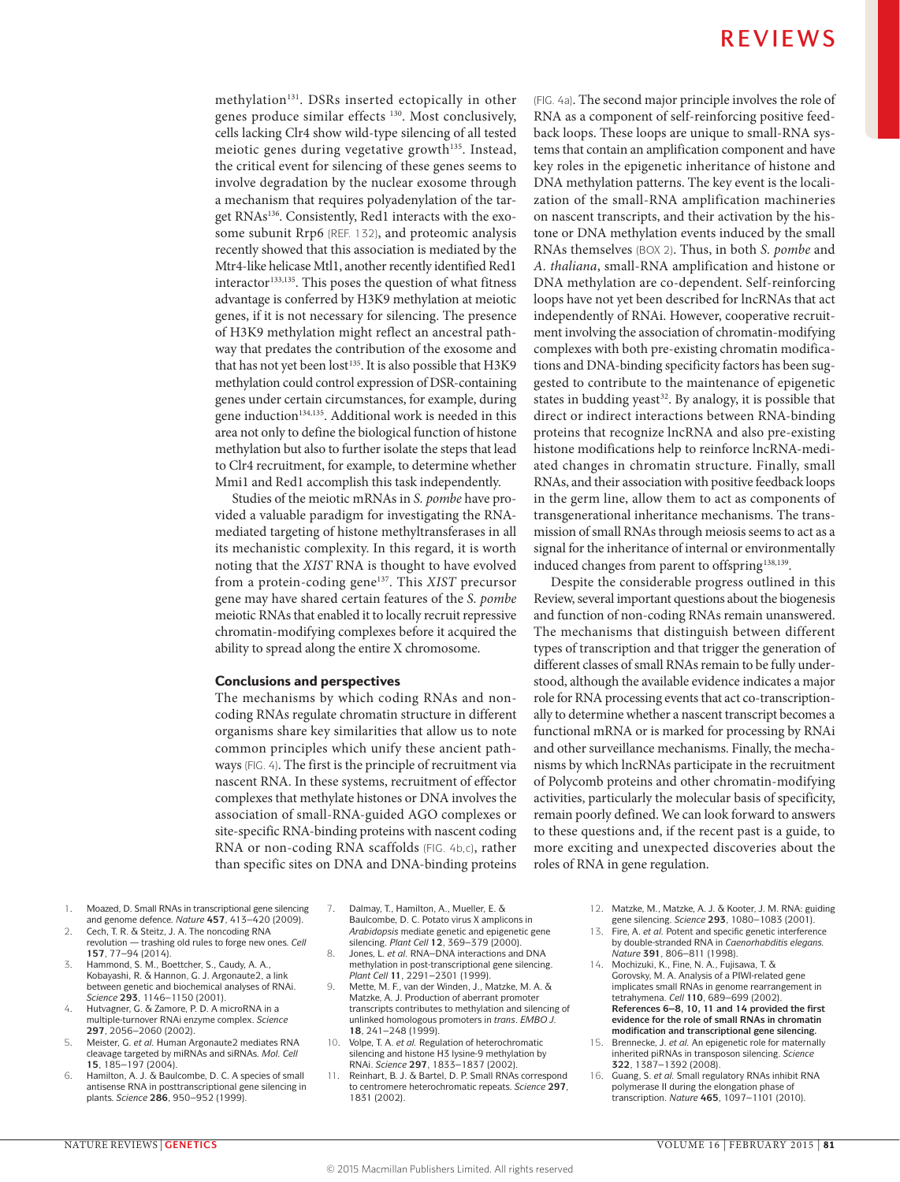methylation<sup>131</sup>. DSRs inserted ectopically in other genes produce similar effects 130. Most conclusively, cells lacking Clr4 show wild-type silencing of all tested meiotic genes during vegetative growth<sup>135</sup>. Instead, the critical event for silencing of these genes seems to involve degradation by the nuclear exosome through a mechanism that requires polyadenylation of the target RNAs136. Consistently, Red1 interacts with the exosome subunit Rrp6 (REF. 132), and proteomic analysis recently showed that this association is mediated by the Mtr4-like helicase Mtl1, another recently identified Red1 interactor<sup>133,135</sup>. This poses the question of what fitness advantage is conferred by H3K9 methylation at meiotic genes, if it is not necessary for silencing. The presence of H3K9 methylation might reflect an ancestral pathway that predates the contribution of the exosome and that has not yet been lost<sup>135</sup>. It is also possible that H3K9 methylation could control expression of DSR-containing genes under certain circumstances, for example, during gene induction<sup>134,135</sup>. Additional work is needed in this area not only to define the biological function of histone methylation but also to further isolate the steps that lead to Clr4 recruitment, for example, to determine whether Mmi1 and Red1 accomplish this task independently.

Studies of the meiotic mRNAs in *S. pombe* have provided a valuable paradigm for investigating the RNAmediated targeting of histone methyltransferases in all its mechanistic complexity. In this regard, it is worth noting that the *XIST* RNA is thought to have evolved from a protein-coding gene137. This *XIST* precursor gene may have shared certain features of the *S. pombe* meiotic RNAs that enabled it to locally recruit repressive chromatin-modifying complexes before it acquired the ability to spread along the entire X chromosome.

#### Conclusions and perspectives

The mechanisms by which coding RNAs and noncoding RNAs regulate chromatin structure in different organisms share key similarities that allow us to note common principles which unify these ancient pathways (FIG. 4). The first is the principle of recruitment via nascent RNA. In these systems, recruitment of effector complexes that methylate histones or DNA involves the association of small-RNA-guided AGO complexes or site-specific RNA-binding proteins with nascent coding RNA or non-coding RNA scaffolds (FIG. 4b,c), rather than specific sites on DNA and DNA-binding proteins (FIG. 4a). The second major principle involves the role of RNA as a component of self-reinforcing positive feedback loops. These loops are unique to small-RNA systems that contain an amplification component and have key roles in the epigenetic inheritance of histone and DNA methylation patterns. The key event is the localization of the small-RNA amplification machineries on nascent transcripts, and their activation by the histone or DNA methylation events induced by the small RNAs themselves (BOX 2). Thus, in both *S. pombe* and *A. thaliana*, small-RNA amplification and histone or DNA methylation are co-dependent. Self-reinforcing loops have not yet been described for lncRNAs that act independently of RNAi. However, cooperative recruitment involving the association of chromatin-modifying complexes with both pre-existing chromatin modifications and DNA-binding specificity factors has been suggested to contribute to the maintenance of epigenetic states in budding yeast<sup>32</sup>. By analogy, it is possible that direct or indirect interactions between RNA-binding proteins that recognize lncRNA and also pre-existing histone modifications help to reinforce lncRNA-mediated changes in chromatin structure. Finally, small RNAs, and their association with positive feedback loops in the germ line, allow them to act as components of transgenerational inheritance mechanisms. The transmission of small RNAs through meiosis seems to act as a signal for the inheritance of internal or environmentally induced changes from parent to offspring<sup>138,139</sup>.

Despite the considerable progress outlined in this Review, several important questions about the biogenesis and function of non-coding RNAs remain unanswered. The mechanisms that distinguish between different types of transcription and that trigger the generation of different classes of small RNAs remain to be fully understood, although the available evidence indicates a major role for RNA processing events that act co-transcriptionally to determine whether a nascent transcript becomes a functional mRNA or is marked for processing by RNAi and other surveillance mechanisms. Finally, the mechanisms by which lncRNAs participate in the recruitment of Polycomb proteins and other chromatin-modifying activities, particularly the molecular basis of specificity, remain poorly defined. We can look forward to answers to these questions and, if the recent past is a guide, to more exciting and unexpected discoveries about the roles of RNA in gene regulation.

- 1. Moazed, D. Small RNAs in transcriptional gene silencing
- and genome defence. *Nature* **457**, 413–420 (2009). 2. Cech, T. R. & Steitz, J. A. The noncoding RNA revolution — trashing old rules to forge new ones. *Cell*  **157**, 77–94 (2014).
- 3. Hammond, S. M., Boettcher, S., Caudy, A. A., Kobayashi, R. & Hannon, G. J. Argonaute2, a link between genetic and biochemical analyses of RNAi. *Science* **293**, 1146–1150 (2001).
- 4. Hutvagner, G. & Zamore, P. D. A microRNA in a multiple-turnover RNAi enzyme complex. *Science*  **297**, 2056–2060 (2002).
- 5. Meister, G. *et al.* Human Argonaute2 mediates RNA cleavage targeted by miRNAs and siRNAs. *Mol. Cell*  **15**, 185–197 (2004).
- Hamilton, A. J. & Baulcombe, D. C. A species of small antisense RNA in posttranscriptional gene silencing in plants. *Science* **286**, 950–952 (1999).
- Dalmay, T., Hamilton, A., Mueller, Ε. & Baulcombe, D. C. Potato virus X amplicons in *Arabidopsis* mediate genetic and epigenetic gene silencing. *Plant Cell* **12**, 369–379 (2000).
- 8. Jones, L. *et al.* RNA–DNA interactions and DNA methylation in post-transcriptional gene silencing. *Plant Cell* **11**, 2291–2301 (1999).
- 9. Mette, M. F., van der Winden, J., Matzke, M. A. & Matzke, A. J. Production of aberrant promoter transcripts contributes to methylation and silencing of unlinked homologous promoters in *trans*. *EMBO J.*  **18**, 241–248 (1999).
- 10. Volpe, T. A. *et al.* Regulation of heterochromatic silencing and histone H3 lysine-9 methylation by RNAi. *Science* **297**, 1833–1837 (2002).
- 11. Reinhart, B. J. & Bartel, D. P. Small RNAs correspond to centromere heterochromatic repeats. *Science* **297**, 1831 (2002).
- 12. Matzke, M., Matzke, A. J. & Kooter, J. M. RNA: guiding
- gene silencing. *Science* **293**, 1080–1083 (2001). 13. Fire, A. *et al.* Potent and specific genetic interference by double-stranded RNA in *Caenorhabditis elegans. Nature* **391**, 806–811 (1998).
- 14. Mochizuki, K., Fine, N. A., Fujisawa, T. & Gorovsky, M. A. Analysis of a PIWI-related gene implicates small RNAs in genome rearrangement in tetrahymena. *Cell* **110**, 689–699 (2002). **References 6–8, 10, 11 and 14 provided the first evidence for the role of small RNAs in chromatin modification and transcriptional gene silencing.**
- 15. Brennecke, J. *et al.* An epigenetic role for maternally inherited piRNAs in transposon silencing. *Science*  **322**, 1387–1392 (2008).
- 16. Guang, S. *et al.* Small regulatory RNAs inhibit RNA polymerase II during the elongation phase of transcription. *Nature* **465**, 1097–1101 (2010).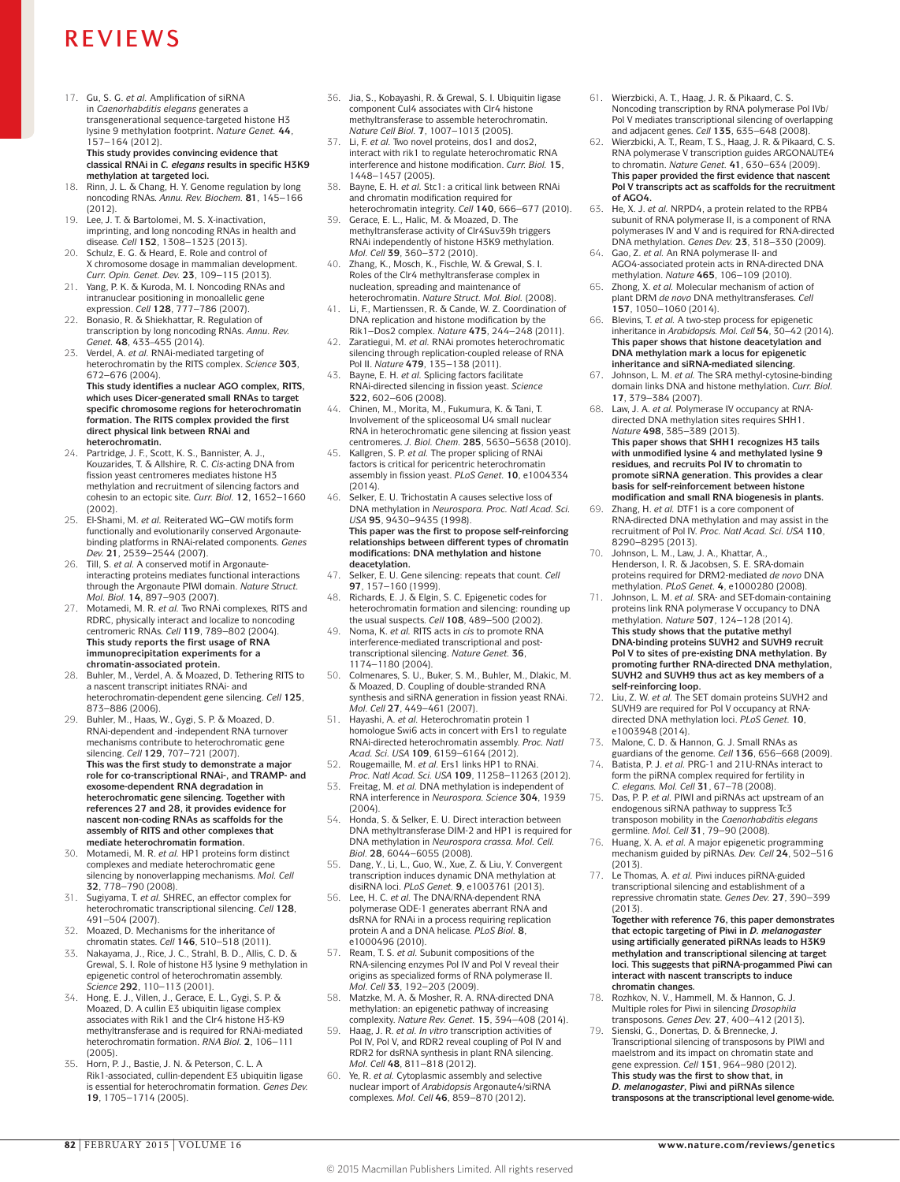- 17. Gu, S. G. *et al.* Amplification of siRNA in *Caenorhabditis elegans* generates a transgenerational sequence-targeted histone H3 lysine 9 methylation footprint. *Nature Genet.* **44**, 157–164 (2012). **This study provides convincing evidence that classical RNAi in** *C. elegans* **results in specific H3K9 methylation at targeted loci.**
- 18. Rinn, J. L. & Chang, H. Y. Genome regulation by long noncoding RNAs. *Annu. Rev. Biochem.* **81**, 145–166 (2012).
- 19. Lee, J. T. & Bartolomei, M. S. X-inactivation, imprinting, and long noncoding RNAs in health and disease. *Cell* **152**, 1308–1323 (2013).
- 20. Schulz, E. G. & Heard, E. Role and control of X chromosome dosage in mammalian development. *Curr. Opin. Genet. Dev.* **23**, 109–115 (2013).
- 21. Yang, P. K. & Kuroda, M. I. Noncoding RNAs and intranuclear positioning in monoallelic gene expression. *Cell* **128**, 777–786 (2007).
- 22. Bonasio, R. & Shiekhattar, R. Regulation of transcription by long noncoding RNAs. *Annu. Rev. Genet.* **48**, 433–455 (2014).
- 23. Verdel, A. *et al.* RNAi-mediated targeting of heterochromatin by the RITS complex. *Science* **303**, 672–676 (2004).

#### **This study identifies a nuclear AGO complex, RITS, which uses Dicer-generated small RNAs to target specific chromosome regions for heterochromatin formation. The RITS complex provided the first direct physical link between RNAi and heterochromatin.**

- 24. Partridge, J. F., Scott, K. S., Bannister, A. J., Kouzarides, T. & Allshire, R. C. *Cis*-acting DNA from fission yeast centromeres mediates histone H3 methylation and recruitment of silencing factors and cohesin to an ectopic site. *Curr. Biol.* **12**, 1652–1660 (2002).
- 25. El-Shami, M. *et al.* Reiterated WG–GW motifs form functionally and evolutionarily conserved Argonautebinding platforms in RNAi-related components. *Genes Dev.* **21**, 2539–2544 (2007).
- 26. Till, S. *et al.* A conserved motif in Argonaute-interacting proteins mediates functional interactions through the Argonaute PIWI domain. *Nature Struct. Mol. Biol.* **14**, 897–903 (2007).
- 27. Motamedi, M. R. *et al.* Two RNAi complexes, RITS and RDRC, physically interact and localize to noncoding centromeric RNAs. *Cell* **119**, 789–802 (2004). **This study reports the first usage of RNA immunoprecipitation experiments for a chromatin-associated protein.**
- 28. Buhler, M., Verdel, A. & Moazed, D. Tethering RITS to a nascent transcript initiates RNAi- and heterochromatin-dependent gene silencing. *Cell* **125**, 873–886 (2006).
- 29. Buhler, M., Haas, W., Gygi, S. P. & Moazed, D. RNAi-dependent and -independent RNA turnover mechanisms contribute to heterochromatic gene silencing. *Cell* **129**, 707–721 (2007). **This was the first study to demonstrate a major role for co-transcriptional RNAi-, and TRAMP- and exosome-dependent RNA degradation in heterochromatic gene silencing. Together with references 27 and 28, it provides evidence for nascent non-coding RNAs as scaffolds for the assembly of RITS and other complexes that mediate heterochromatin formation.**
- 30. Motamedi, M. R. *et al.* HP1 proteins form distinct complexes and mediate heterochromatic gene silencing by nonoverlapping mechanisms. *Mol. Cell*  **32**, 778–790 (2008).
- Sugiyama, T. et al. SHREC, an effector complex for heterochromatic transcriptional silencing. *Cell* **128**, 491–504 (2007).
- 32. Moazed, D. Mechanisms for the inheritance of chromatin states. *Cell* **146**, 510–518 (2011).
- 33. Nakayama, J., Rice, J. C., Strahl, B. D., Allis, C. D. & Grewal, S. I. Role of histone H3 lysine 9 methylation in epigenetic control of heterochromatin assembly. *Science* **292**, 110–113 (2001).
- 34. Hong, E. J., Villen, J., Gerace, E. L., Gygi, S. P. & Moazed, D. A cullin E3 ubiquitin ligase complex associates with Rik1 and the Clr4 histone H3-K9 methyltransferase and is required for RNAi-mediated heterochromatin formation. *RNA Biol.* **2**, 106–111 (2005).
- 35. Horn, P. J., Bastie, J. N. & Peterson, C. L. A Rik1-associated, cullin-dependent E3 ubiquitin ligase is essential for heterochromatin formation. *Genes Dev.*  **19**, 1705–1714 (2005).
- 36. Jia, S., Kobayashi, R. & Grewal, S. I. Ubiquitin ligase component Cul4 associates with Clr4 histone methyltransferase to assemble heterochromatin. *Nature Cell Biol.* **7**, 1007–1013 (2005).
- 37. Li, F. *et al.* Two novel proteins, dos1 and dos2, interact with rik1 to regulate heterochromatic RNA interference and histone modification. *Curr. Biol.* **15**, 1448–1457 (2005).
- 38. Bayne, E. H. *et al.* Stc1: a critical link between RNAi and chromatin modification required for heterochromatin integrity. *Cell* **140**, 666–677 (2010).
- 39. Gerace, E. L., Halic, M. & Moazed, D. The methyltransferase activity of Clr4Suv39h triggers RNAi independently of histone H3K9 methylation. *Mol. Cell* **39**, 360–372 (2010).
- 40. Zhang, K., Mosch, K., Fischle, W. & Grewal, S. I. Roles of the Clr4 methyltransferase complex in nucleation, spreading and maintenance of heterochromatin. *Nature Struct. Mol. Biol.* (2008).
- 41. Li, F., Martienssen, R. & Cande, W. Z. Coordination of DNA replication and histone modification by the Rik1–Dos2 complex. *Nature* **475**, 244–248 (2011).
- 42. Zaratiegui, M. *et al.* RNAi promotes heterochromatic silencing through replication-coupled release of RNA Pol II. *Nature* **479**, 135–138 (2011).
- 43. Bayne, E. H. *et al.* Splicing factors facilitate RNAi-directed silencing in fission yeast. *Science*  **322**, 602–606 (2008).
- 44. Chinen, M., Morita, M., Fukumura, K. & Tani, T. Involvement of the spliceosomal U4 small nuclear RNA in heterochromatic gene silencing at fission yeast centromeres. *J. Biol. Chem.* **285**, 5630–5638 (2010).
- 45. Kallgren, S. P. *et al.* The proper splicing of RNAi factors is critical for pericentric heterochromatin assembly in fission yeast. *PLoS Genet.* **10**, e1004334 (2014).
- 46. Selker, E. U. Trichostatin A causes selective loss of DNA methylation in *Neurospora. Proc. Natl Acad. Sci. USA* **95**, 9430–9435 (1998). **This paper was the first to propose self-reinforcing relationships between different types of chromatin modifications: DNA methylation and histone deacetylation.**
- 47. Selker, E. U. Gene silencing: repeats that count. *Cell*  **97**, 157–160 (1999).
- 48. Richards, E. J. & Elgin, S. C. Epigenetic codes for heterochromatin formation and silencing: rounding up the usual suspects. *Cell* **108**, 489–500 (2002). 49. Noma, K. *et al.* RITS acts in *cis* to promote RNA
- interference-mediated transcriptional and posttranscriptional silencing. *Nature Genet.* **36**, 1174–1180 (2004).
- 50. Colmenares, S. U., Buker, S. M., Buhler, M., Dlakic, M. & Moazed, D. Coupling of double-stranded RNA synthesis and siRNA generation in fission yeast RNAi. *Mol. Cell* **27**, 449–461 (2007).
- 51. Hayashi, A. *et al.* Heterochromatin protein 1 homologue Swi6 acts in concert with Ers1 to regulate RNAi-directed heterochromatin assembly. *Proc. Natl Acad. Sci. USA* **109**, 6159–6164 (2012).
- 52. Rougemaille, M. *et al.* Ers1 links HP1 to RNAi. *Proc. Natl Acad. Sci. USA* **109**, 11258–11263 (2012).
- 53. Freitag, M. *et al.* DNA methylation is independent of RNA interference in *Neurospora. Science* **304**, 1939  $(2004)$ .
- 54. Honda, S. & Selker, E. U. Direct interaction between DNA methyltransferase DIM-2 and HP1 is required for DNA methylation in *Neurospora crassa. Mol. Cell.*
- *Biol.* **28**, 6044–6055 (2008). 55. Dang, Y., Li, L., Guo, W., Xue, Z. & Liu, Y. Convergent transcription induces dynamic DNA methylation at disiRNA loci. *PLoS Genet.* **9**, e1003761 (2013).
- Lee, H. C. et al. The DNA/RNA-dependent RNA polymerase QDE-1 generates aberrant RNA and dsRNA for RNAi in a process requiring replication protein A and a DNA helicase. *PLoS Biol.* **8**, e1000496 (2010).
- Ream, T. S. *et al.* Subunit compositions of the RNA-silencing enzymes Pol IV and Pol V reveal their origins as specialized forms of RNA polymerase II. *Mol. Cell* **33**, 192–203 (2009).
- 58. Matzke, M. A. & Mosher, R. A. RNA-directed DNA methylation: an epigenetic pathway of increasing complexity. *Nature Rev. Genet.* **15**, 394–408 (2014).
- 59. Haag, J. R. *et al. In vitro* transcription activities of Pol IV, Pol V, and RDR2 reveal coupling of Pol IV and RDR2 for dsRNA synthesis in plant RNA silencing. *Mol. Cell* **48**, 811–818 (2012).
- 60. Ye, R. *et al.* Cytoplasmic assembly and selective nuclear import of *Arabidopsis* Argonaute4/siRNA complexes. *Mol. Cell* **46**, 859–870 (2012).
- 61. Wierzbicki, A. T., Haag, J. R. & Pikaard, C. S. Noncoding transcription by RNA polymerase Pol IVb/ Pol V mediates transcriptional silencing of overlapping and adjacent genes. *Cell* **135**, 635–648 (2008).
- 62. Wierzbicki, A. T., Ream, T. S., Haag, J. R. & Pikaard, C. S. RNA polymerase V transcription guides ARGONAUTE4 to chromatin. *Nature Genet.* **41**, 630–634 (2009). **This paper provided the first evidence that nascent Pol V transcripts act as scaffolds for the recruitment of AGO4.**
- 63. He, X. J. *et al.* NRPD4, a protein related to the RPB4 subunit of RNA polymerase II, is a component of RNA polymerases IV and V and is required for RNA-directed DNA methylation. *Genes Dev.* **23**, 318–330 (2009). 64. Gao, Z. *et al.* An RNA polymerase II- and
- AGO4-associated protein acts in RNA-directed DNA methylation. *Nature* **465**, 106–109 (2010).
- 65. Zhong, X. *et al.* Molecular mechanism of action of plant DRM *de novo* DNA methyltransferases. *Cell*  **157**, 1050–1060 (2014).
- 66. Blevins, T. *et al.* A two-step process for epigenetic inheritance in *Arabidopsis. Mol. Cell* **54**, 30–42 (2014). **This paper shows that histone deacetylation and DNA methylation mark a locus for epigenetic inheritance and siRNA-mediated silencing.**
- 67. Johnson, L. M. *et al.* The SRA methyl-cytosine-binding domain links DNA and histone methylation. *Curr. Biol.*  **17**, 379–384 (2007).
- 68. Law, J. A. *et al.* Polymerase IV occupancy at RNAdirected DNA methylation sites requires SHH1. *Nature* **498**, 385–389 (2013). **This paper shows that SHH1 recognizes H3 tails with unmodified lysine 4 and methylated lysine 9 residues, and recruits Pol IV to chromatin to promote siRNA generation. This provides a clear basis for self-reinforcement between histone modification and small RNA biogenesis in plants.**
- 69. Zhang, H. *et al.* DTF1 is a core component of RNA-directed DNA methylation and may assist in the recruitment of Pol IV. *Proc. Natl Acad. Sci. USA* **110**, 8290–8295 (2013).
- 70. Johnson, L. M., Law, J. A., Khattar, A., Henderson, I. R. & Jacobsen, S. E. SRA-domain proteins required for DRM2-mediated *de novo* DNA methylation. *PLoS Genet.* **4**, e1000280 (2008).
- 71. Johnson, L. M. *et al.* SRA- and SET-domain-containing proteins link RNA polymerase V occupancy to DNA methylation. *Nature* **507**, 124–128 (2014). **This study shows that the putative methyl DNA-binding proteins SUVH2 and SUVH9 recruit Pol V to sites of pre-existing DNA methylation. By promoting further RNA-directed DNA methylation, SUVH2 and SUVH9 thus act as key members of a self-reinforcing loop.**
- 72. Liu, Z. W. *et al.* The SET domain proteins SUVH2 and SUVH9 are required for Pol V occupancy at RNAdirected DNA methylation loci. *PLoS Genet.* **10**, e1003948 (2014).
- 
- 73. Malone, C. D. & Hannon, G. J. Small RNAs as guardians of the genome. *Cell* **136**, 656–668 (2009). 74. Batista, P. J. *et al.* PRG-1 and 21U-RNAs interact to form the piRNA complex required for fertility in
- *C. elegans. Mol. Cell* **31**, 67–78 (2008). 75. Das, P. P. *et al.* PIWI and piRNAs act upstream of an endogenous siRNA pathway to suppress Tc3 transposon mobility in the *Caenorhabditis elegans* germline. *Mol. Cell* **31**, 79–90 (2008).
- 76. Huang, X. A. *et al.* A major epigenetic programming mechanism guided by piRNAs. *Dev. Cell* **24**, 502–516 (2013).
- 77. Le Thomas, A. *et al.* Piwi induces piRNA-guided transcriptional silencing and establishment of a repressive chromatin state. *Genes Dev.* **27**, 390–399 (2013).

**Together with reference 76, this paper demonstrates that ectopic targeting of Piwi in** *D. melanogaster* **using artificially generated piRNAs leads to H3K9 methylation and transcriptional silencing at target loci. This suggests that piRNA-progammed Piwi can interact with nascent transcripts to induce chromatin changes.**

- 78. Rozhkov, N. V., Hammell, M. & Hannon, G. J. Multiple roles for Piwi in silencing *Drosophila* transposons. *Genes Dev.* **27**, 400–412 (2013).
- Sienski, G., Donertas, D. & Brennecke, J. Transcriptional silencing of transposons by PIWI and maelstrom and its impact on chromatin state and gene expression. *Cell* **151**, 964–980 (2012). **This study was the first to show that, in**  *D. melanogaster***, Piwi and piRNAs silence transposons at the transcriptional level genome-wide.**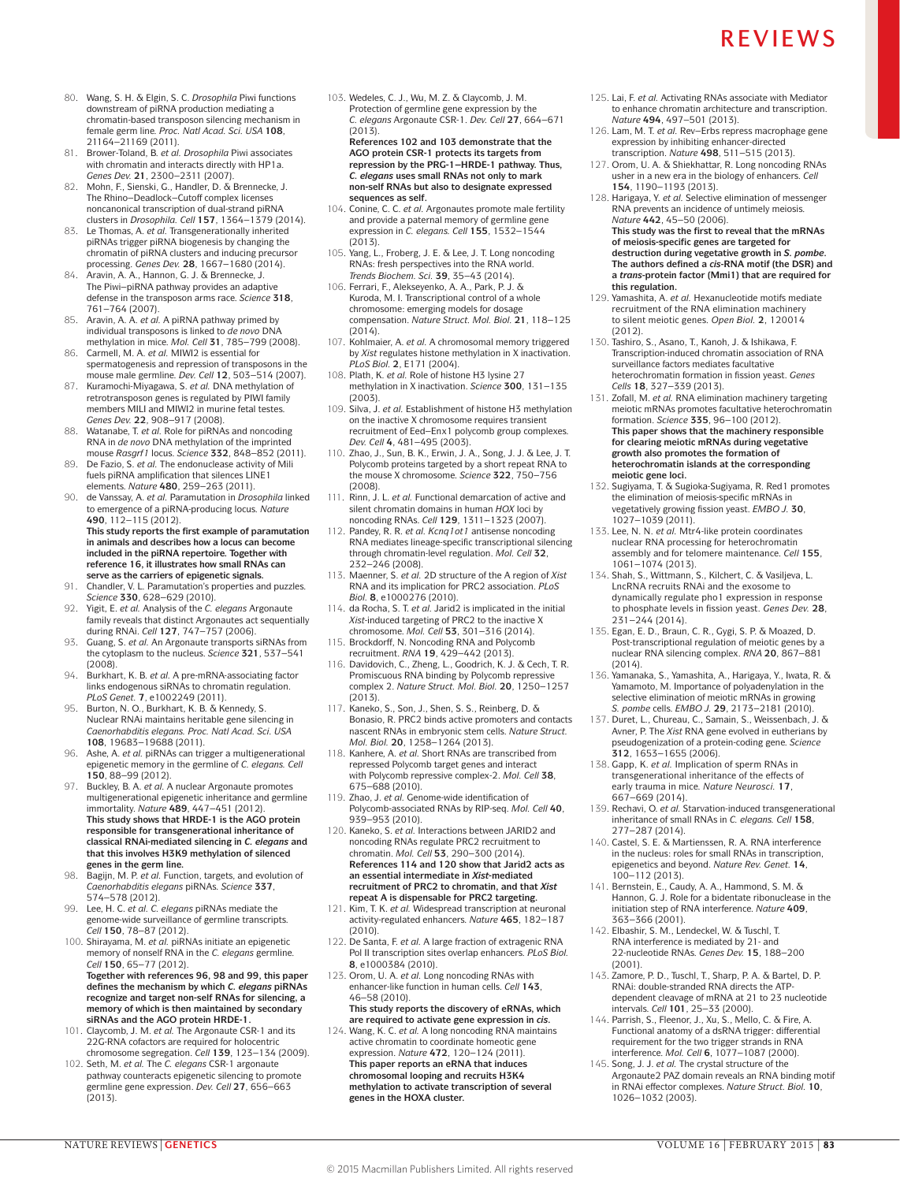- 80. Wang, S. H. & Elgin, S. C. *Drosophila* Piwi functions downstream of piRNA production mediating a chromatin-based transposon silencing mechanism in female germ line. *Proc. Natl Acad. Sci. USA* **108**, 21164–21169 (2011).
- 81. Brower-Toland, B. *et al. Drosophila* Piwi associates with chromatin and interacts directly with HP1a. *Genes Dev.* **21**, 2300–2311 (2007).
- 82. Mohn, E., Sienski, G., Handler, D. & Brennecke, J. The Rhino–Deadlock–Cutoff complex licenses noncanonical transcription of dual-strand piRNA clusters in *Drosophila. Cell* **157**, 1364–1379 (2014).
- 83. Le Thomas, A. *et al.* Transgenerationally inherited piRNAs trigger piRNA biogenesis by changing the chromatin of piRNA clusters and inducing precursor processing. *Genes Dev.* **28**, 1667–1680 (2014).
- Aravin, A. A., Hannon, G. J. & Brennecke, J. The Piwi–piRNA pathway provides an adaptive defense in the transposon arms race. *Science* **318**, 761–764 (2007).
- 85. Aravin, A. A. *et al.* A piRNA pathway primed by individual transposons is linked to *de novo* DNA methylation in mice. *Mol. Cell* **31**, 785–799 (2008).
- 86. Carmell, M. A. *et al.* MIWI2 is essential for spermatogenesis and repression of transposons in the mouse male germline. *Dev. Cell* **12**, 503–514 (2007).
- 87. Kuramochi-Miyagawa, S. *et al.* DNA methylation of retrotransposon genes is regulated by PIWI family members MILI and MIWI2 in murine fetal testes. *Genes Dev.* **22**, 908–917 (2008).
- 88. Watanabe, T. *et al.* Role for piRNAs and noncoding RNA in *de novo* DNA methylation of the imprinted mouse *Rasgrf1* locus. *Science* **332**, 848–852 (2011).
- 89. De Fazio, S. *et al.* The endonuclease activity of Mili fuels piRNA amplification that silences LINE1 elements. *Nature* **480**, 259–263 (2011).
- 90. de Vanssay, A. *et al.* Paramutation in *Drosophila* linked to emergence of a piRNA-producing locus. *Nature*  **490**, 112–115 (2012). **This study reports the first example of paramutation in animals and describes how a locus can become included in the piRNA repertoire. Together with reference 16, it illustrates how small RNAs can**

#### **serve as the carriers of epigenetic signals.** 91. Chandler, V. L. Paramutation's properties and puzzles. *Science* **330**, 628–629 (2010).

- 92. Yigit, E. *et al.* Analysis of the *C. elegans* Argonaute family reveals that distinct Argonautes act sequentially during RNAi. *Cell* **127**, 747–757 (2006).
- Guang, S. *et al.* An Argonaute transports siRNAs from the cytoplasm to the nucleus. *Science* **321**, 537–541 (2008).
- 94. Burkhart, K. B. *et al.* A pre-mRNA-associating factor links endogenous siRNAs to chromatin regulation. *PLoS Genet.* **7**, e1002249 (2011).
- 95. Burton, N. O., Burkhart, K. B. & Kennedy, S. Nuclear RNAi maintains heritable gene silencing in *Caenorhabditis elegans. Proc. Natl Acad. Sci. USA*  **108**, 19683–19688 (2011).
- 96. Ashe, A. *et al.* piRNAs can trigger a multigenerational epigenetic memory in the germline of *C. elegans. Cell*  **150**, 88–99 (2012).
- 97. Buckley, B. A. *et al.* A nuclear Argonaute promotes multigenerational epigenetic inheritance and germline immortality. *Nature* **489**, 447–451 (2012). **This study shows that HRDE-1 is the AGO protein responsible for transgenerational inheritance of classical RNAi-mediated silencing in** *C. elegans* **and that this involves H3K9 methylation of silenced genes in the germ line.**
- 98. Bagijn, M. P. *et al.* Function, targets, and evolution of *Caenorhabditis elegans* piRNAs. *Science* **337**, 574–578 (2012).
- 99. Lee, H. C. *et al. C. elegans* piRNAs mediate the genome-wide surveillance of germline transcripts. *Cell* **150**, 78–87 (2012).
- 100. Shirayama, M. *et al.* piRNAs initiate an epigenetic memory of nonself RNA in the *C. elegans* germline. *Cell* **150**, 65–77 (2012). **Together with references 96, 98 and 99, this paper defines the mechanism by which** *C. elegans* **piRNAs recognize and target non-self RNAs for silencing, a**

**memory of which is then maintained by secondary siRNAs and the AGO protein HRDE-1.**

- 101. Claycomb, J. M. *et al.* The Argonaute CSR-1 and its 22G-RNA cofactors are required for holocentric chromosome segregation. *Cell* **139**, 123–134 (2009).
- 102. Seth, M. *et al.* The *C. elegans* CSR-1 argonaute pathway counteracts epigenetic silencing to promote germline gene expression. *Dev. Cell* **27**, 656–663  $(2013)$

103. Wedeles, C. J., Wu, M. Z. & Claycomb, J. M. Protection of germline gene expression by the *C. elegans* Argonaute CSR-1. *Dev. Cell* **27**, 664–671 (2013).

**References 102 and 103 demonstrate that the AGO protein CSR-1 protects its targets from repression by the PRG-1–HRDE-1 pathway. Thus,**  *C. elegans* **uses small RNAs not only to mark non-self RNAs but also to designate expressed sequences as self.**

- 104. Conine, C. C. *et al.* Argonautes promote male fertility and provide a paternal memory of germline gene expression in *C. elegans. Cell* **155**, 1532–1544 (2013).
- 105. Yang, L., Froberg, J. E. & Lee, J. T. Long noncoding RNAs: fresh perspectives into the RNA world. *Trends Biochem. Sci.* **39**, 35–43 (2014).
- 106. Ferrari, F., Alekseyenko, A. A., Park, P. J. & Kuroda, M. I. Transcriptional control of a whole chromosome: emerging models for dosage compensation. *Nature Struct. Mol. Biol.* **21**, 118–125  $(2014)$
- 107. Kohlmaier, A. *et al.* A chromosomal memory triggered by *Xist* regulates histone methylation in X inactivation. *PLoS Biol.* **2**, E171 (2004).
- 108. Plath, K. *et al.* Role of histone H3 lysine 27 methylation in X inactivation. *Science* **300**, 131–135 (2003).
- 109. Silva, J. *et al.* Establishment of histone H3 methylation on the inactive X chromosome requires transient recruitment of Eed–Enx1 polycomb group complexes. *Dev. Cell* **4**, 481–495 (2003).
- 110. Zhao, J., Sun, B. K., Erwin, J. A., Song, J. J. & Lee, J. T. Polycomb proteins targeted by a short repeat RNA to the mouse X chromosome. *Science* **322**, 750–756 (2008).
- 111. Rinn, J. L. *et al.* Functional demarcation of active and silent chromatin domains in human *HOX* loci by noncoding RNAs. *Cell* **129**, 1311–1323 (2007).
- 112. Pandey, R. R. *et al. Kcnq1ot1* antisense noncoding RNA mediates lineage-specific transcriptional silencing through chromatin-level regulation. *Mol. Cell* **32**, 232–246 (2008).
- 113. Maenner, S. *et al.* 2D structure of the A region of *Xist* RNA and its implication for PRC2 association. *PLoS Biol.* **8**, e1000276 (2010).
- 114. da Rocha, S. T. *et al.* Jarid2 is implicated in the initial *Xist*-induced targeting of PRC2 to the inactive X chromosome. *Mol. Cell* **53**, 301–316 (2014).
- Brockdorff, N. Noncoding RNA and Polycomb recruitment. *RNA* **19**, 429–442 (2013).
- 116. Davidovich, C., Zheng, L., Goodrich, K. J. & Cech, T. R. Promiscuous RNA binding by Polycomb repressive complex 2. *Nature Struct. Mol. Biol.* **20**, 1250–1257 (2013).
- 117. Kaneko, S., Son, J., Shen, S. S., Reinberg, D. & Bonasio, R. PRC2 binds active promoters and contacts nascent RNAs in embryonic stem cells. *Nature Struct. Mol. Biol.* **20**, 1258–1264 (2013).
- 118. Kanhere, A. *et al.* Short RNAs are transcribed from repressed Polycomb target genes and interact with Polycomb repressive complex-2. *Mol. Cell* **38**, 675–688 (2010).
- 119. Zhao, J. *et al.* Genome-wide identification of Polycomb-associated RNAs by RIP-seq. *Mol. Cell* **40**, 939–953 (2010).
- 120. Kaneko, S. *et al.* Interactions between JARID2 and noncoding RNAs regulate PRC2 recruitment to chromatin. *Mol. Cell* **53**, 290–300 (2014). **References 114 and 120 show that Jarid2 acts as an essential intermediate in** *Xist***-mediated recruitment of PRC2 to chromatin, and that** *Xist* **repeat A is dispensable for PRC2 targeting.**
- 121. Kim, T. K. *et al.* Widespread transcription at neuronal activity-regulated enhancers. *Nature* **465**, 182–187  $(2010)$ .
- 122. De Santa, F. *et al.* A large fraction of extragenic RNA Pol II transcription sites overlap enhancers. *PLoS Biol.*  **8**, e1000384 (2010).
- 123. Orom, U. A. *et al.* Long noncoding RNAs with enhancer-like function in human cells. *Cell* **143**, 46–58 (2010).
- **This study reports the discovery of eRNAs, which are required to activate gene expression in** *cis***.** 124. Wang, K. C. *et al.* A long noncoding RNA maintains
- active chromatin to coordinate homeotic gene expression. *Nature* **472**, 120–124 (2011). **This paper reports an eRNA that induces chromosomal looping and recruits H3K4 methylation to activate transcription of several genes in the HOXA cluster.**
- 125. Lai, F. *et al.* Activating RNAs associate with Mediator to enhance chromatin architecture and transcription. *Nature* **494**, 497–501 (2013).
- 126. Lam, M. T. *et al.* Rev–Erbs repress macrophage gene expression by inhibiting enhancer-directed transcription. *Nature* **498**, 511–515 (2013).
- 127. Orom, U. A. & Shiekhattar, R. Long noncoding RNAs usher in a new era in the biology of enhancers. *Cell*  **154**, 1190–1193 (2013).
- 128. Harigaya, Y. *et al.* Selective elimination of messenger RNA prevents an incidence of untimely meiosis. *Nature* **442**, 45–50 (2006). **This study was the first to reveal that the mRNAs of meiosis-specific genes are targeted for destruction during vegetative growth in** *S. pombe***. The authors defined a** *cis-***RNA motif (the DSR) and a** *trans-***protein factor (Mmi1) that are required for this regulation.**
- 129. Yamashita, A. *et al.* Hexanucleotide motifs mediate recruitment of the RNA elimination machinery to silent meiotic genes. *Open Biol.* **2**, 120014  $(2012)$
- 130. Tashiro, S., Asano, T., Kanoh, J. & Ishikawa, F. Transcription-induced chromatin association of RNA surveillance factors mediates facultative heterochromatin formation in fission yeast. *Genes Cells* **18**, 327–339 (2013).
- 131. Zofall, M. *et al.* RNA elimination machinery targeting meiotic mRNAs promotes facultative heterochromatin formation. *Science* **335**, 96–100 (2012). **This paper shows that the machinery responsible for clearing meiotic mRNAs during vegetative growth also promotes the formation of heterochromatin islands at the corresponding meiotic gene loci.**
- 132. Sugiyama, T. & Sugioka-Sugiyama, R. Red1 promotes the elimination of meiosis-specific mRNAs in vegetatively growing fission yeast. *EMBO J.* **30**, 1027–1039 (2011).
- 133. Lee, N. N. *et al.* Mtr4-like protein coordinates nuclear RNA processing for heterochromatin assembly and for telomere maintenance. *Cell* **155**,
- 1061–1074 (2013). 134. Shah, S., Wittmann, S., Kilchert, C. & Vasiljeva, L. LncRNA recruits RNAi and the exosome to dynamically regulate pho1 expression in response to phosphate levels in fission yeast. *Genes Dev.* **28**,
- 231–244 (2014). 135. Egan, E. D., Braun, C. R., Gygi, S. P. & Moazed, D. Post-transcriptional regulation of meiotic genes by a nuclear RNA silencing complex. *RNA* **20**, 867–881  $(2014)$
- 136. Yamanaka, S., Yamashita, A., Harigaya, Y., Iwata, R. & Yamamoto, M. Importance of polyadenylation in the selective elimination of meiotic mRNAs in growing *S. pombe* cells. *EMBO J.* **29**, 2173–2181 (2010).
- 137. Duret, L., Chureau, C., Samain, S., Weissenbach, J. & Avner, P. The *Xist* RNA gene evolved in eutherians by pseudogenization of a protein-coding gene. *Science*  **312**, 1653–1655 (2006).
- 138. Gapp, K. *et al.* Implication of sperm RNAs in transgenerational inheritance of the effects of early trauma in mice. *Nature Neurosci.* **17**,
- 667–669 (2014). 139. Rechavi, O. *et al.* Starvation-induced transgenerational inheritance of small RNAs in *C. elegans. Cell* **158**, 277–287 (2014).
- 140. Castel, S. E. & Martienssen, R. A. RNA interference in the nucleus: roles for small RNAs in transcription, epigenetics and beyond. *Nature Rev. Genet.* **14**, 100–112 (2013).
- 141. Bernstein, E., Caudy, A. A., Hammond, S. M. & Hannon, G. J. Role for a bidentate ribonuclease in the initiation step of RNA interference. *Nature* **409**, 363–366 (2001).
- 142. Elbashir, S. M., Lendeckel, W. & Tuschl, T. RNA interference is mediated by 21- and 22-nucleotide RNAs. *Genes Dev.* **15**, 188–200 (2001).
- 143. Zamore, P. D., Tuschl, T., Sharp, P. A. & Bartel, D. P. RNAi: double-stranded RNA directs the ATPdependent cleavage of mRNA at 21 to 23 nucleotide intervals. *Cell* **101**, 25–33 (2000).
- 144. Parrish, S., Fleenor, J., Xu, S., Mello, C. & Fire, A. Functional anatomy of a dsRNA trigger: differential requirement for the two trigger strands in RNA interference. *Mol. Cell* **6**, 1077–1087 (2000).
- 145. Song, J. J. *et al.* The crystal structure of the Argonaute2 PAZ domain reveals an RNA binding motif in RNAi effector complexes. *Nature Struct. Biol.* **10**, 1026–1032 (2003).